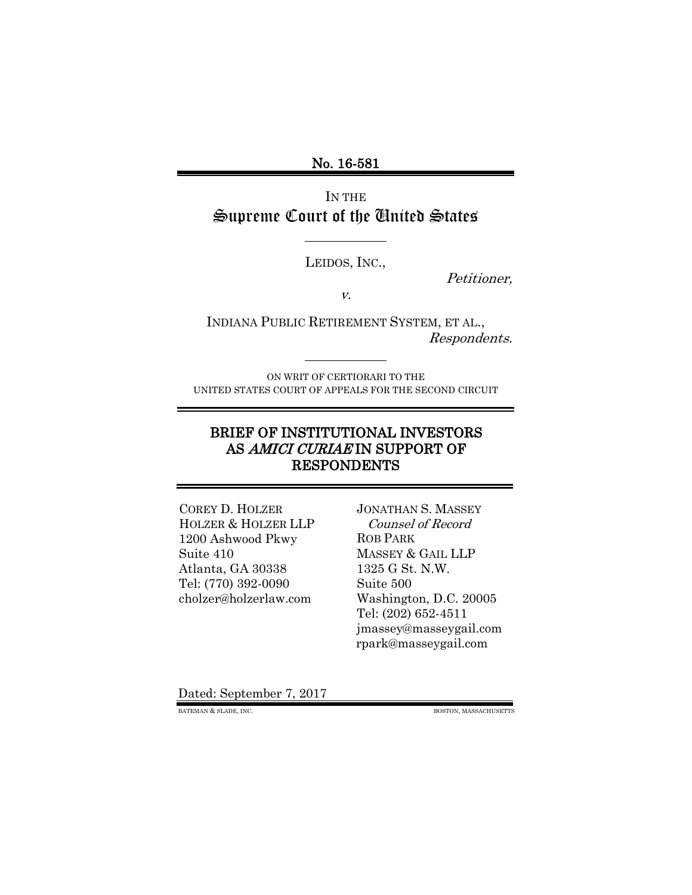No. 16-581

IN THE Supreme Court of the United States

LEIDOS, INC.,

Petitioner,

v.

INDIANA PUBLIC RETIREMENT SYSTEM, ET AL., Respondents.

ON WRIT OF CERTIORARI TO THE UNITED STATES COURT OF APPEALS FOR THE SECOND CIRCUIT

# BRIEF OF INSTITUTIONAL INVESTORS AS AMICI CURIAE IN SUPPORT OF RESPONDENTS

COREY D. HOLZER HOLZER & HOLZER LLP 1200 Ashwood Pkwy Suite 410 Atlanta, GA 30338 Tel: (770) 392-0090 cholzer@holzerlaw.com

JONATHAN S. MASSEY Counsel of Record ROB PARK MASSEY & GAIL LLP 1325 G St. N.W. Suite 500 Washington, D.C. 20005 Tel: (202) 652-4511 jmassey@masseygail.com rpark@masseygail.com

<span id="page-0-0"></span>Dated: September 7, 2017

BATEMAN & SLADE, INC. BOSTON, MASSACHUSETTS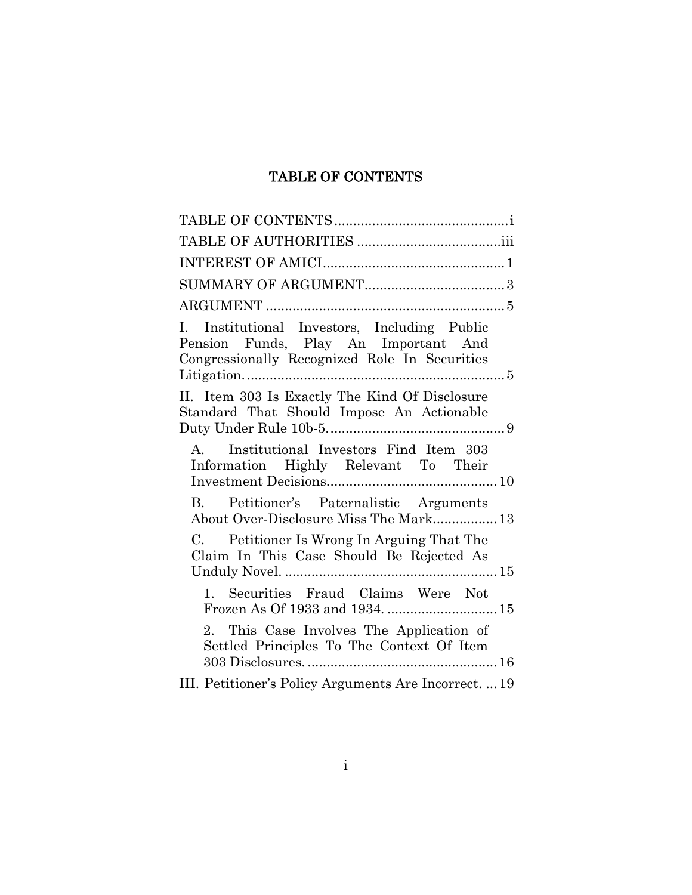# TABLE OF CONTENTS

<span id="page-1-0"></span>

| I. Institutional Investors, Including Public<br>Pension Funds, Play An Important And<br>Congressionally Recognized Role In Securities |  |
|---------------------------------------------------------------------------------------------------------------------------------------|--|
| II. Item 303 Is Exactly The Kind Of Disclosure<br>Standard That Should Impose An Actionable                                           |  |
| A. Institutional Investors Find Item 303<br>Information Highly Relevant To Their                                                      |  |
| B. Petitioner's Paternalistic Arguments<br>About Over-Disclosure Miss The Mark 13                                                     |  |
| C. Petitioner Is Wrong In Arguing That The<br>Claim In This Case Should Be Rejected As                                                |  |
| 1. Securities Fraud Claims Were Not<br>Frozen As Of 1933 and 1934.  15                                                                |  |
| 2. This Case Involves The Application of<br>Settled Principles To The Context Of Item                                                 |  |
| III. Petitioner's Policy Arguments Are Incorrect.  19                                                                                 |  |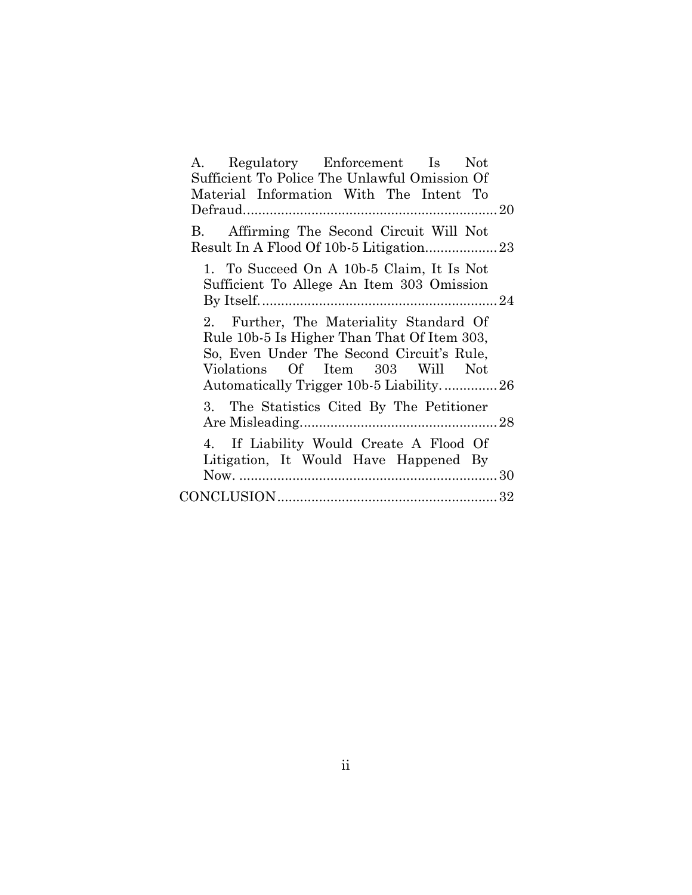| Regulatory Enforcement Is Not<br>А.           |  |
|-----------------------------------------------|--|
| Sufficient To Police The Unlawful Omission Of |  |
| Material Information With The Intent To       |  |
|                                               |  |
| Affirming The Second Circuit Will Not<br>B.   |  |
|                                               |  |
| 1. To Succeed On A 10b-5 Claim, It Is Not     |  |
| Sufficient To Allege An Item 303 Omission     |  |
|                                               |  |
| 2. Further, The Materiality Standard Of       |  |
| Rule 10b-5 Is Higher Than That Of Item 303,   |  |
| So, Even Under The Second Circuit's Rule,     |  |
| Violations Of Item 303 Will Not               |  |
| Automatically Trigger 10b-5 Liability26       |  |
| 3. The Statistics Cited By The Petitioner     |  |
|                                               |  |
| 4. If Liability Would Create A Flood Of       |  |
| Litigation, It Would Have Happened By         |  |
|                                               |  |
|                                               |  |
|                                               |  |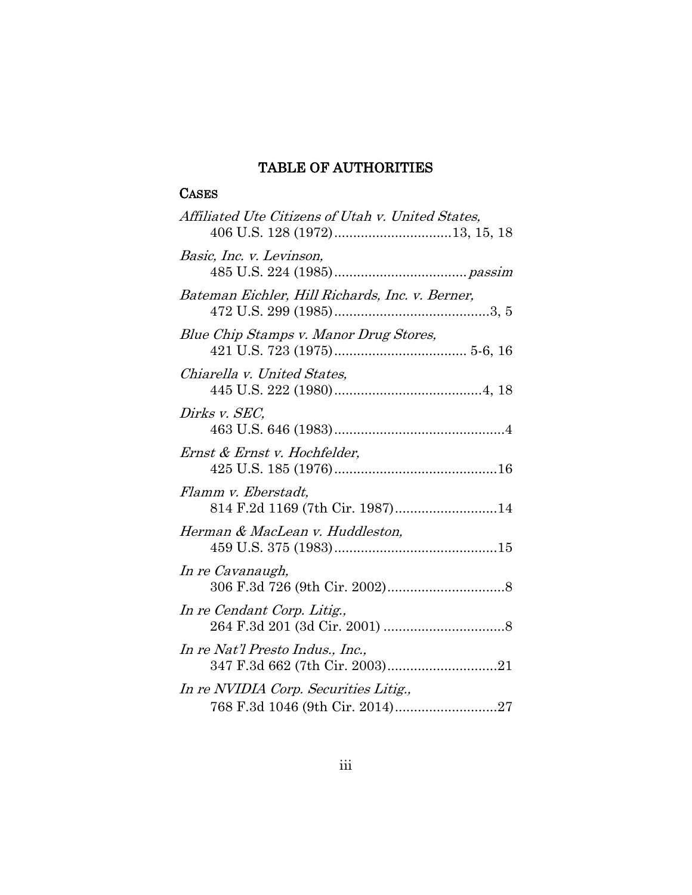# TABLE OF AUTHORITIES

# <span id="page-3-0"></span>**CASES**

| Affiliated Ute Citizens of Utah v. United States,                  |
|--------------------------------------------------------------------|
| Basic, Inc. v. Levinson,                                           |
| Bateman Eichler, Hill Richards, Inc. v. Berner,                    |
| Blue Chip Stamps v. Manor Drug Stores,                             |
| Chiarella v. United States,                                        |
| Dirks v. SEC,                                                      |
| Ernst & Ernst v. Hochfelder,                                       |
| Flamm v. Eberstadt,                                                |
| Herman & MacLean v. Huddleston,                                    |
| In re Cavanaugh,                                                   |
| In re Cendant Corp. Litig.,                                        |
| In re Nat'l Presto Indus., Inc.,<br>347 F.3d 662 (7th Cir. 2003)21 |
| In re NVIDIA Corp. Securities Litig.,                              |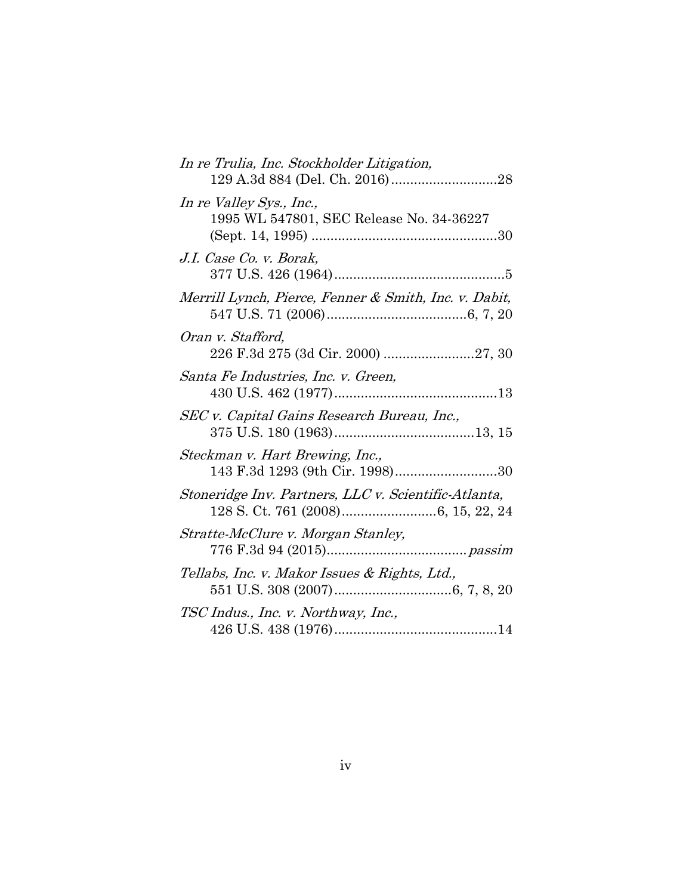| In re Trulia, Inc. Stockholder Litigation,                           |
|----------------------------------------------------------------------|
| In re Valley Sys., Inc.,<br>1995 WL 547801, SEC Release No. 34-36227 |
| J.I. Case Co. v. Borak,                                              |
| Merrill Lynch, Pierce, Fenner & Smith, Inc. v. Dabit,                |
| Oran v. Stafford,                                                    |
| Santa Fe Industries, Inc. v. Green,                                  |
| SEC v. Capital Gains Research Bureau, Inc.,                          |
| Steckman v. Hart Brewing, Inc.,<br>143 F.3d 1293 (9th Cir. 1998)30   |
| Stoneridge Inv. Partners, LLC v. Scientific-Atlanta,                 |
| Stratte-McClure v. Morgan Stanley,                                   |
| Tellabs, Inc. v. Makor Issues & Rights, Ltd.,                        |
| TSC Indus., Inc. v. Northway, Inc.,                                  |
|                                                                      |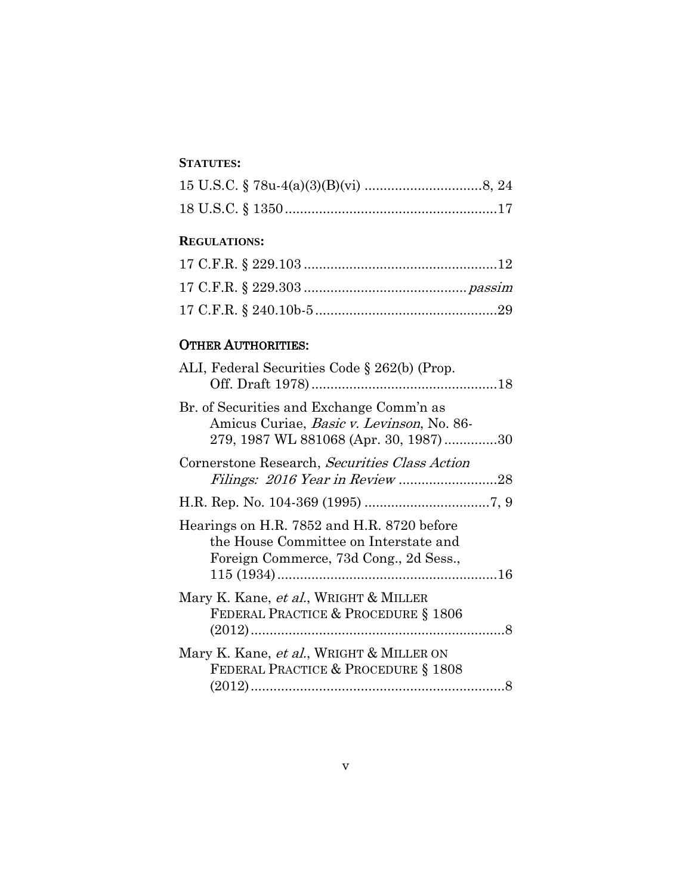### **STATUTES:**

#### **REGULATIONS:**

# OTHER AUTHORITIES:

| ALI, Federal Securities Code § 262(b) (Prop.                                                                                           |  |
|----------------------------------------------------------------------------------------------------------------------------------------|--|
| Br. of Securities and Exchange Comm'n as<br>Amicus Curiae, <i>Basic v. Levinson</i> , No. 86-<br>279, 1987 WL 881068 (Apr. 30, 1987)30 |  |
| Cornerstone Research, Securities Class Action                                                                                          |  |
|                                                                                                                                        |  |
| Hearings on H.R. 7852 and H.R. 8720 before<br>the House Committee on Interstate and<br>Foreign Commerce, 73d Cong., 2d Sess.,          |  |
| Mary K. Kane, <i>et al.</i> , WRIGHT & MILLER<br>FEDERAL PRACTICE & PROCEDURE § 1806                                                   |  |
| Mary K. Kane, et al., WRIGHT & MILLER ON<br>FEDERAL PRACTICE & PROCEDURE § 1808                                                        |  |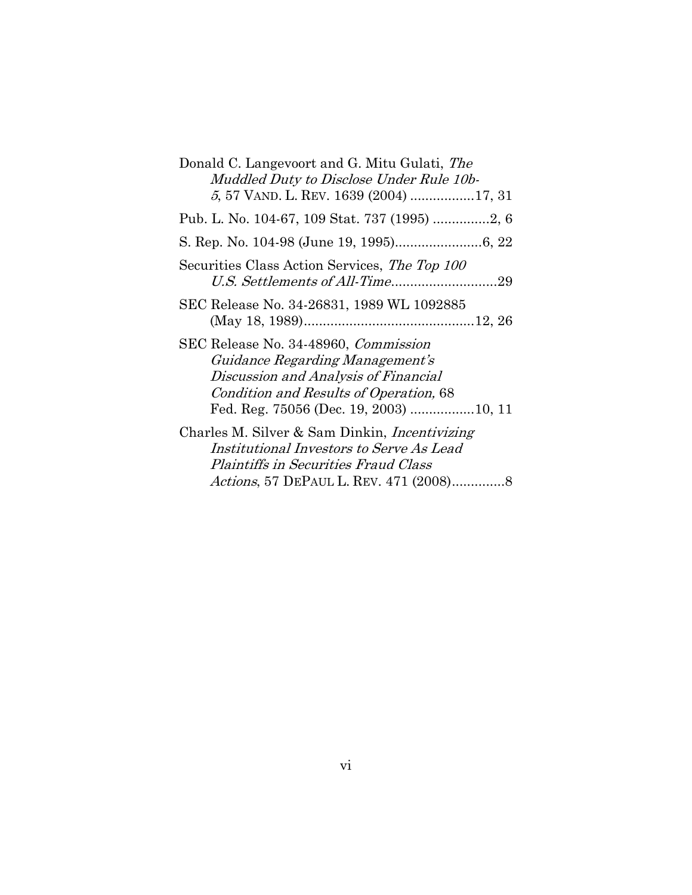| Donald C. Langevoort and G. Mitu Gulati, The         |
|------------------------------------------------------|
| Muddled Duty to Disclose Under Rule 10b-             |
| 5, 57 VAND. L. REV. 1639 (2004) 17, 31               |
|                                                      |
|                                                      |
| Securities Class Action Services, The Top 100        |
|                                                      |
| SEC Release No. 34-26831, 1989 WL 1092885            |
|                                                      |
| SEC Release No. 34-48960, <i>Commission</i>          |
| Guidance Regarding Management's                      |
| Discussion and Analysis of Financial                 |
| Condition and Results of Operation, 68               |
|                                                      |
| Charles M. Silver & Sam Dinkin, <i>Incentivizing</i> |
| Institutional Investors to Serve As Lead             |
| <i>Plaintiffs in Securities Fraud Class</i>          |
|                                                      |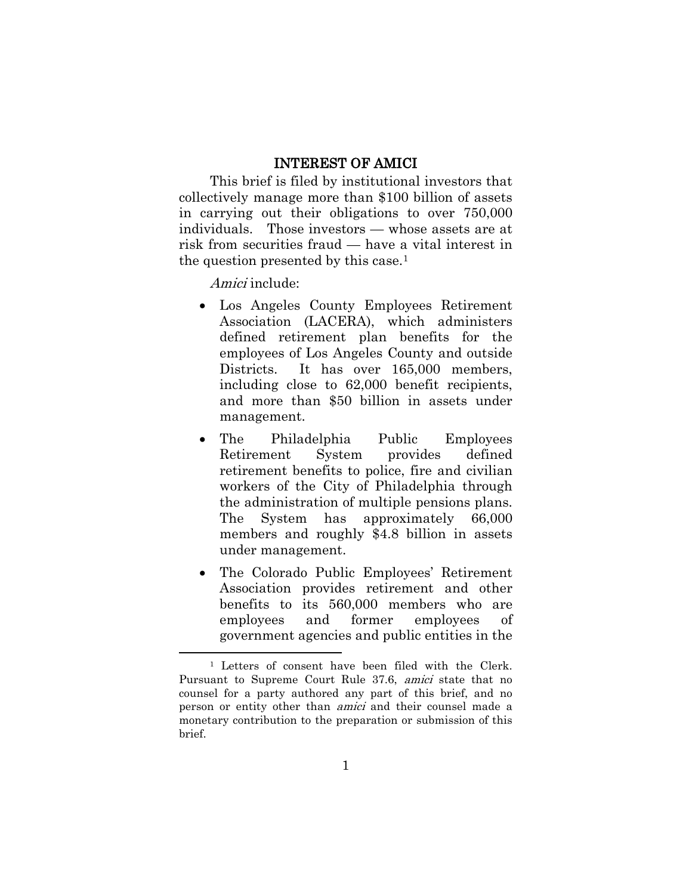### INTEREST OF AMICI

<span id="page-7-0"></span>This brief is filed by institutional investors that collectively manage more than \$100 billion of assets in carrying out their obligations to over 750,000 individuals. Those investors — whose assets are at risk from securities fraud — have a vital interest in the question presented by this case.[1](#page-0-0)

Amici include:

 $\overline{a}$ 

- Los Angeles County Employees Retirement Association (LACERA), which administers defined retirement plan benefits for the employees of Los Angeles County and outside Districts. It has over 165,000 members, including close to 62,000 benefit recipients, and more than \$50 billion in assets under management.
- The Philadelphia Public Employees Retirement System provides defined retirement benefits to police, fire and civilian workers of the City of Philadelphia through the administration of multiple pensions plans. The System has approximately 66,000 members and roughly \$4.8 billion in assets under management.
- The Colorado Public Employees' Retirement Association provides retirement and other benefits to its 560,000 members who are employees and former employees of government agencies and public entities in the

<span id="page-7-1"></span><sup>1</sup> Letters of consent have been filed with the Clerk. Pursuant to Supreme Court Rule 37.6, amici state that no counsel for a party authored any part of this brief, and no person or entity other than amici and their counsel made a monetary contribution to the preparation or submission of this brief.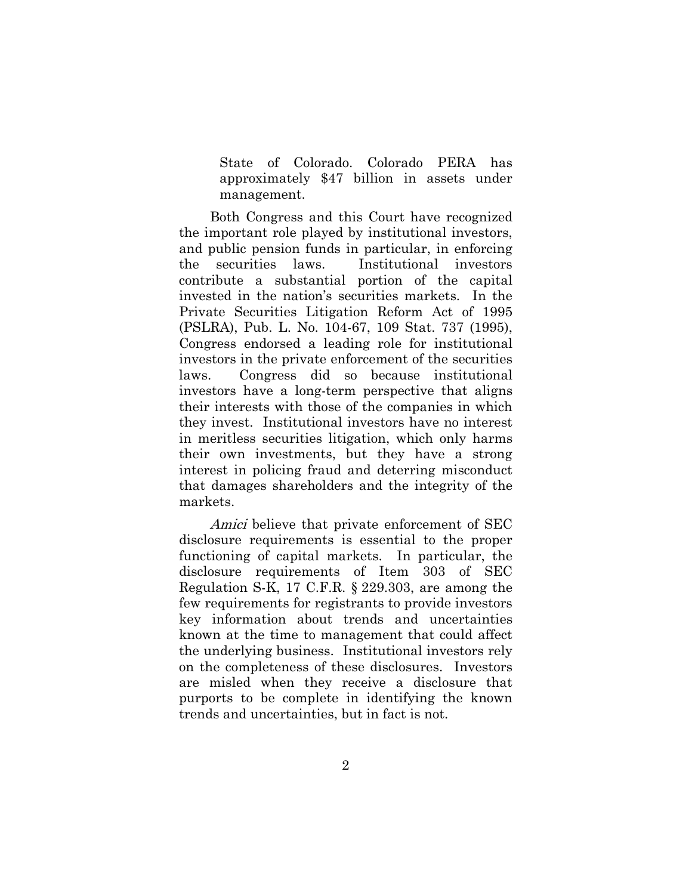State of Colorado. Colorado PERA has approximately \$47 billion in assets under management.

Both Congress and this Court have recognized the important role played by institutional investors, and public pension funds in particular, in enforcing the securities laws. Institutional investors contribute a substantial portion of the capital invested in the nation's securities markets. In the Private Securities Litigation Reform Act of 1995 (PSLRA), Pub. L. No. 104-67, 109 Stat. 737 (1995), Congress endorsed a leading role for institutional investors in the private enforcement of the securities laws. Congress did so because institutional investors have a long-term perspective that aligns their interests with those of the companies in which they invest. Institutional investors have no interest in meritless securities litigation, which only harms their own investments, but they have a strong interest in policing fraud and deterring misconduct that damages shareholders and the integrity of the markets.

Amici believe that private enforcement of SEC disclosure requirements is essential to the proper functioning of capital markets. In particular, the disclosure requirements of Item 303 of SEC Regulation S-K, 17 C.F.R. § 229.303, are among the few requirements for registrants to provide investors key information about trends and uncertainties known at the time to management that could affect the underlying business. Institutional investors rely on the completeness of these disclosures. Investors are misled when they receive a disclosure that purports to be complete in identifying the known trends and uncertainties, but in fact is not.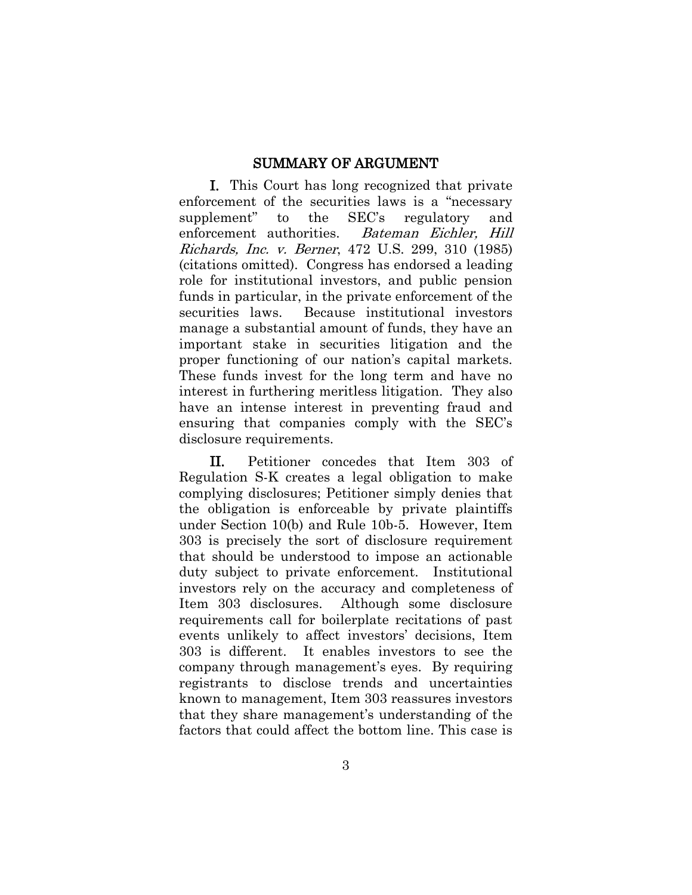#### SUMMARY OF ARGUMENT

<span id="page-9-0"></span>I. This Court has long recognized that private enforcement of the securities laws is a "necessary supplement" to the SEC's regulatory and enforcement authorities. Bateman Eichler, Hill Richards, Inc. v. Berner, 472 U.S. 299, 310 (1985) (citations omitted). Congress has endorsed a leading role for institutional investors, and public pension funds in particular, in the private enforcement of the securities laws. Because institutional investors manage a substantial amount of funds, they have an important stake in securities litigation and the proper functioning of our nation's capital markets. These funds invest for the long term and have no interest in furthering meritless litigation. They also have an intense interest in preventing fraud and ensuring that companies comply with the SEC's disclosure requirements.

II. Petitioner concedes that Item 303 of Regulation S-K creates a legal obligation to make complying disclosures; Petitioner simply denies that the obligation is enforceable by private plaintiffs under Section 10(b) and Rule 10b-5. However, Item 303 is precisely the sort of disclosure requirement that should be understood to impose an actionable duty subject to private enforcement. Institutional investors rely on the accuracy and completeness of Item 303 disclosures. Although some disclosure requirements call for boilerplate recitations of past events unlikely to affect investors' decisions, Item 303 is different. It enables investors to see the company through management's eyes. By requiring registrants to disclose trends and uncertainties known to management, Item 303 reassures investors that they share management's understanding of the factors that could affect the bottom line. This case is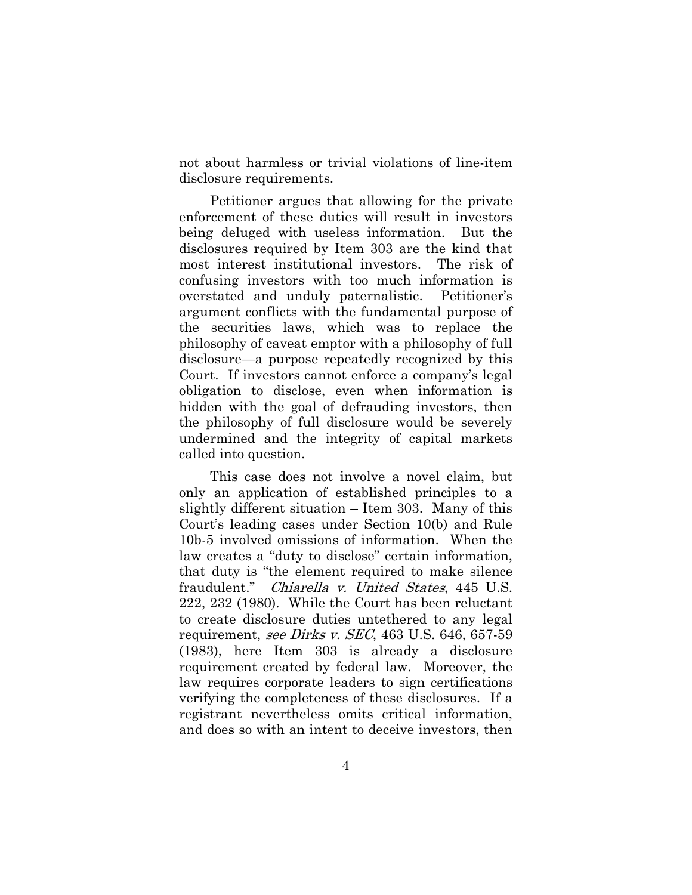not about harmless or trivial violations of line-item disclosure requirements.

Petitioner argues that allowing for the private enforcement of these duties will result in investors being deluged with useless information. But the disclosures required by Item 303 are the kind that most interest institutional investors. The risk of confusing investors with too much information is overstated and unduly paternalistic. Petitioner's argument conflicts with the fundamental purpose of the securities laws, which was to replace the philosophy of caveat emptor with a philosophy of full disclosure—a purpose repeatedly recognized by this Court. If investors cannot enforce a company's legal obligation to disclose, even when information is hidden with the goal of defrauding investors, then the philosophy of full disclosure would be severely undermined and the integrity of capital markets called into question.

This case does not involve a novel claim, but only an application of established principles to a slightly different situation – Item 303. Many of this Court's leading cases under Section 10(b) and Rule 10b-5 involved omissions of information. When the law creates a "duty to disclose" certain information, that duty is "the element required to make silence fraudulent." Chiarella v. United States, 445 U.S. 222, 232 (1980). While the Court has been reluctant to create disclosure duties untethered to any legal requirement, see Dirks v. SEC, 463 U.S. 646, 657-59 (1983), here Item 303 is already a disclosure requirement created by federal law. Moreover, the law requires corporate leaders to sign certifications verifying the completeness of these disclosures. If a registrant nevertheless omits critical information, and does so with an intent to deceive investors, then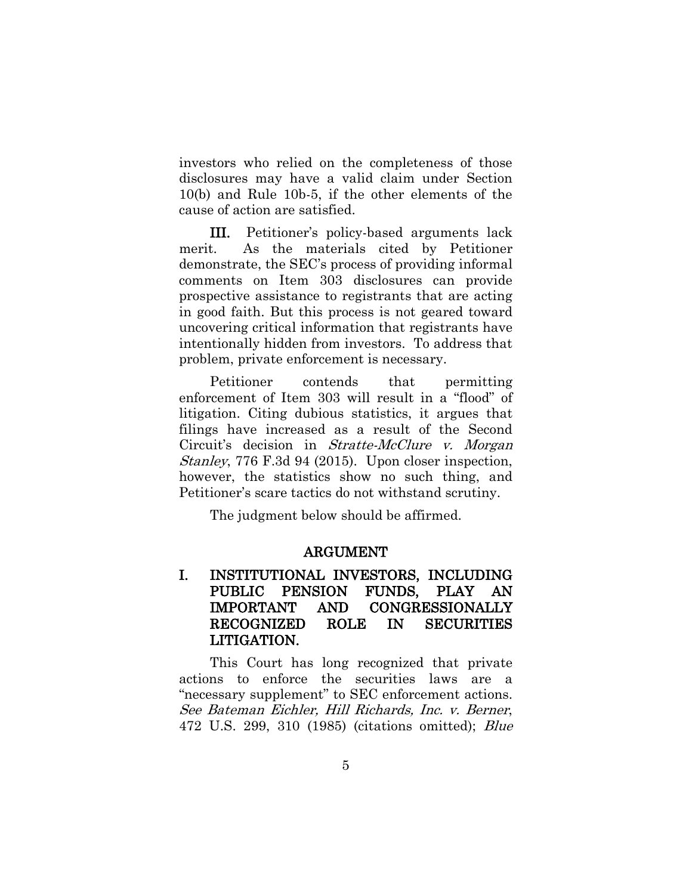investors who relied on the completeness of those disclosures may have a valid claim under Section 10(b) and Rule 10b-5, if the other elements of the cause of action are satisfied.

III. Petitioner's policy-based arguments lack merit. As the materials cited by Petitioner demonstrate, the SEC's process of providing informal comments on Item 303 disclosures can provide prospective assistance to registrants that are acting in good faith. But this process is not geared toward uncovering critical information that registrants have intentionally hidden from investors. To address that problem, private enforcement is necessary.

Petitioner contends that permitting enforcement of Item 303 will result in a "flood" of litigation. Citing dubious statistics, it argues that filings have increased as a result of the Second Circuit's decision in Stratte-McClure v. Morgan Stanley, 776 F.3d 94 (2015). Upon closer inspection, however, the statistics show no such thing, and Petitioner's scare tactics do not withstand scrutiny.

<span id="page-11-0"></span>The judgment below should be affirmed.

#### ARGUMENT

## <span id="page-11-1"></span>I. INSTITUTIONAL INVESTORS, INCLUDING PUBLIC PENSION FUNDS, PLAY AN IMPORTANT AND CONGRESSIONALLY RECOGNIZED ROLE IN SECURITIES LITIGATION.

This Court has long recognized that private actions to enforce the securities laws are a "necessary supplement" to SEC enforcement actions. See Bateman Eichler, Hill Richards, Inc. v. Berner, 472 U.S. 299, 310 (1985) (citations omitted); Blue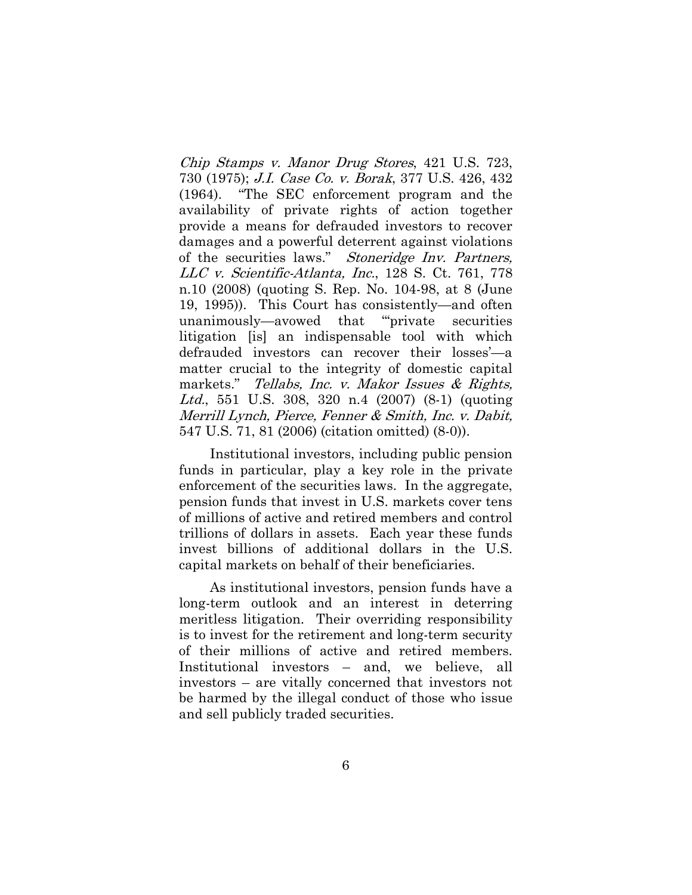Chip Stamps v. Manor Drug Stores, 421 U.S. 723, 730 (1975); J.I. Case Co. v. Borak, 377 U.S. 426, 432 (1964). "The SEC enforcement program and the availability of private rights of action together provide a means for defrauded investors to recover damages and a powerful deterrent against violations of the securities laws." Stoneridge Inv. Partners, LLC v. Scientific-Atlanta, Inc., 128 S. Ct. 761, 778 n.10 (2008) (quoting S. Rep. No. 104-98, at 8 (June 19, 1995)). This Court has consistently—and often unanimously—avowed that "'private securities litigation [is] an indispensable tool with which defrauded investors can recover their losses'—a matter crucial to the integrity of domestic capital markets." Tellabs, Inc. v. Makor Issues & Rights, Ltd., 551 U.S. 308, 320 n.4 (2007) (8-1) (quoting Merrill Lynch, Pierce, Fenner & Smith, Inc. v. Dabit, 547 U.S. 71, 81 (2006) (citation omitted) (8-0)).

Institutional investors, including public pension funds in particular, play a key role in the private enforcement of the securities laws. In the aggregate, pension funds that invest in U.S. markets cover tens of millions of active and retired members and control trillions of dollars in assets. Each year these funds invest billions of additional dollars in the U.S. capital markets on behalf of their beneficiaries.

As institutional investors, pension funds have a long-term outlook and an interest in deterring meritless litigation. Their overriding responsibility is to invest for the retirement and long-term security of their millions of active and retired members. Institutional investors – and, we believe, all investors – are vitally concerned that investors not be harmed by the illegal conduct of those who issue and sell publicly traded securities.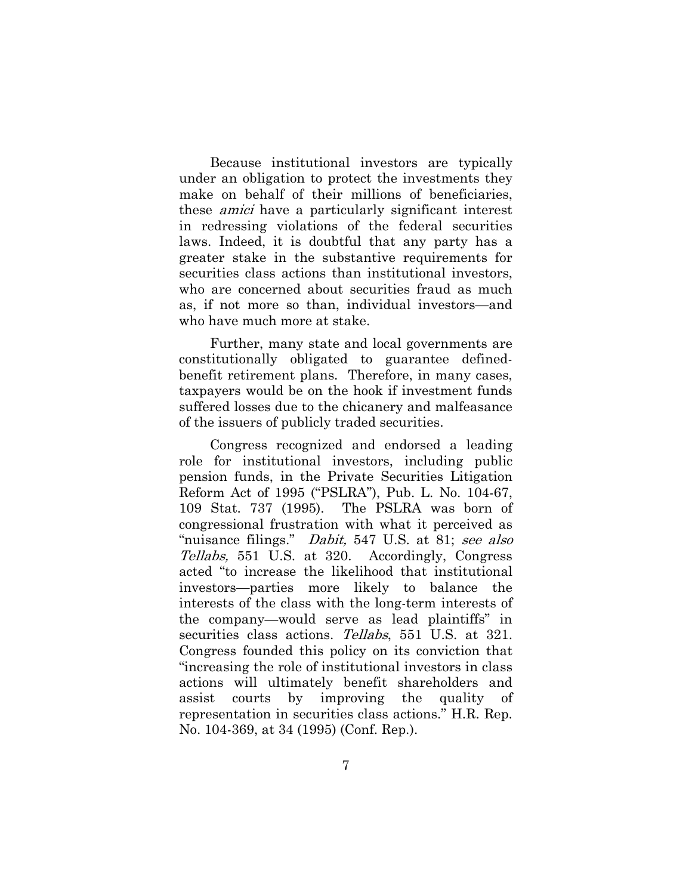Because institutional investors are typically under an obligation to protect the investments they make on behalf of their millions of beneficiaries, these amici have a particularly significant interest in redressing violations of the federal securities laws. Indeed, it is doubtful that any party has a greater stake in the substantive requirements for securities class actions than institutional investors, who are concerned about securities fraud as much as, if not more so than, individual investors—and who have much more at stake.

Further, many state and local governments are constitutionally obligated to guarantee definedbenefit retirement plans. Therefore, in many cases, taxpayers would be on the hook if investment funds suffered losses due to the chicanery and malfeasance of the issuers of publicly traded securities.

Congress recognized and endorsed a leading role for institutional investors, including public pension funds, in the Private Securities Litigation Reform Act of 1995 ("PSLRA"), Pub. L. No. 104-67, 109 Stat. 737 (1995). The PSLRA was born of congressional frustration with what it perceived as "nuisance filings." *Dabit*, 547 U.S. at 81; see also Tellabs, 551 U.S. at 320. Accordingly, Congress acted "to increase the likelihood that institutional investors—parties more likely to balance the interests of the class with the long-term interests of the company—would serve as lead plaintiffs" in securities class actions. Tellabs, 551 U.S. at 321. Congress founded this policy on its conviction that "increasing the role of institutional investors in class actions will ultimately benefit shareholders and assist courts by improving the quality of representation in securities class actions." H.R. Rep. No. 104-369, at 34 (1995) (Conf. Rep.).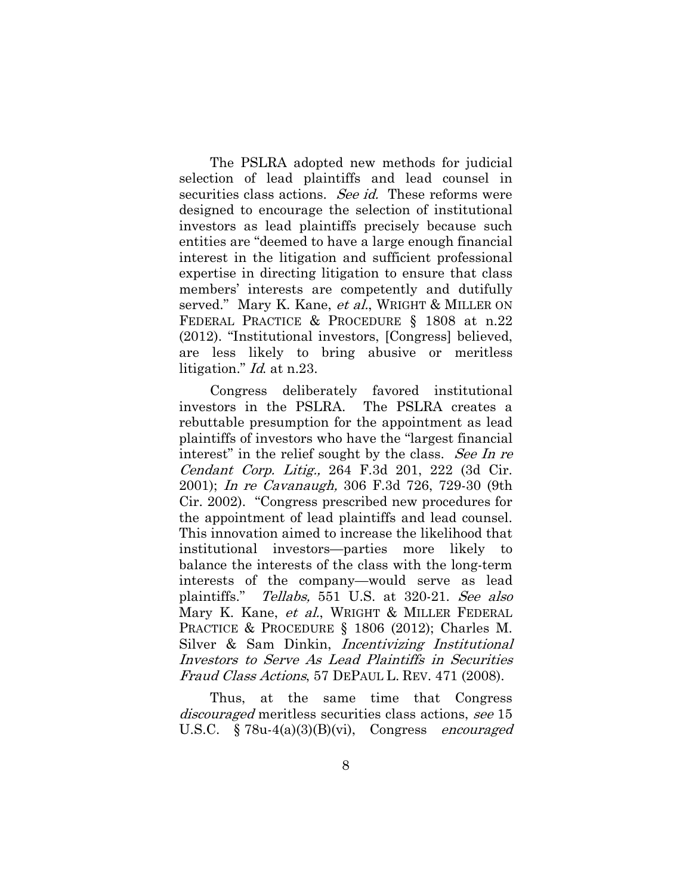The PSLRA adopted new methods for judicial selection of lead plaintiffs and lead counsel in securities class actions. See id. These reforms were designed to encourage the selection of institutional investors as lead plaintiffs precisely because such entities are "deemed to have a large enough financial interest in the litigation and sufficient professional expertise in directing litigation to ensure that class members' interests are competently and dutifully served." Mary K. Kane, *et al.*, WRIGHT & MILLER ON FEDERAL PRACTICE & PROCEDURE § 1808 at n.22 (2012). "Institutional investors, [Congress] believed, are less likely to bring abusive or meritless litigation." *Id.* at n.23.

Congress deliberately favored institutional investors in the PSLRA. The PSLRA creates a rebuttable presumption for the appointment as lead plaintiffs of investors who have the "largest financial interest" in the relief sought by the class. See In re Cendant Corp. Litig., 264 F.3d 201, 222 (3d Cir. 2001); In re Cavanaugh, 306 F.3d 726, 729-30 (9th Cir. 2002). "Congress prescribed new procedures for the appointment of lead plaintiffs and lead counsel. This innovation aimed to increase the likelihood that institutional investors—parties more likely to balance the interests of the class with the long-term interests of the company—would serve as lead plaintiffs." Tellabs, 551 U.S. at 320-21. See also Mary K. Kane, et al., WRIGHT & MILLER FEDERAL PRACTICE & PROCEDURE § 1806 (2012); Charles M. Silver & Sam Dinkin, Incentivizing Institutional Investors to Serve As Lead Plaintiffs in Securities Fraud Class Actions, 57 DEPAUL L. REV. 471 (2008).

Thus, at the same time that Congress discouraged meritless securities class actions, see 15 U.S.C.  $\S 78u-4(a)(3)(B)(vi)$ , Congress *encouraged*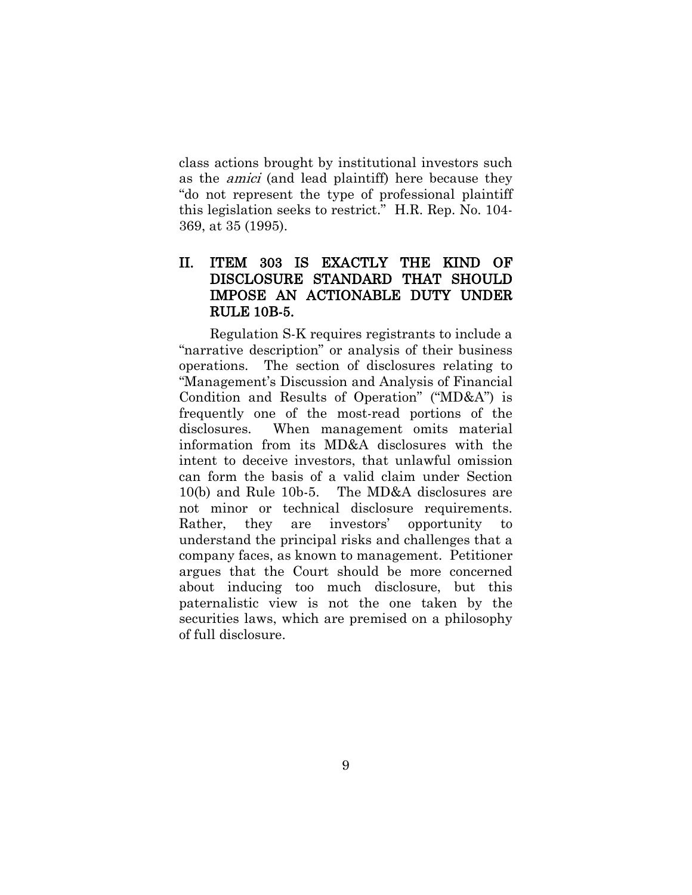class actions brought by institutional investors such as the amici (and lead plaintiff) here because they "do not represent the type of professional plaintiff this legislation seeks to restrict." H.R. Rep. No. 104- 369, at 35 (1995).

# <span id="page-15-0"></span>II. ITEM 303 IS EXACTLY THE KIND OF DISCLOSURE STANDARD THAT SHOULD IMPOSE AN ACTIONABLE DUTY UNDER RULE 10B-5.

<span id="page-15-1"></span>Regulation S-K requires registrants to include a "narrative description" or analysis of their business operations. The section of disclosures relating to "Management's Discussion and Analysis of Financial Condition and Results of Operation" ("MD&A") is frequently one of the most-read portions of the disclosures. When management omits material information from its MD&A disclosures with the intent to deceive investors, that unlawful omission can form the basis of a valid claim under Section 10(b) and Rule 10b-5. The MD&A disclosures are not minor or technical disclosure requirements. Rather, they are investors' opportunity to understand the principal risks and challenges that a company faces, as known to management. Petitioner argues that the Court should be more concerned about inducing too much disclosure, but this paternalistic view is not the one taken by the securities laws, which are premised on a philosophy of full disclosure.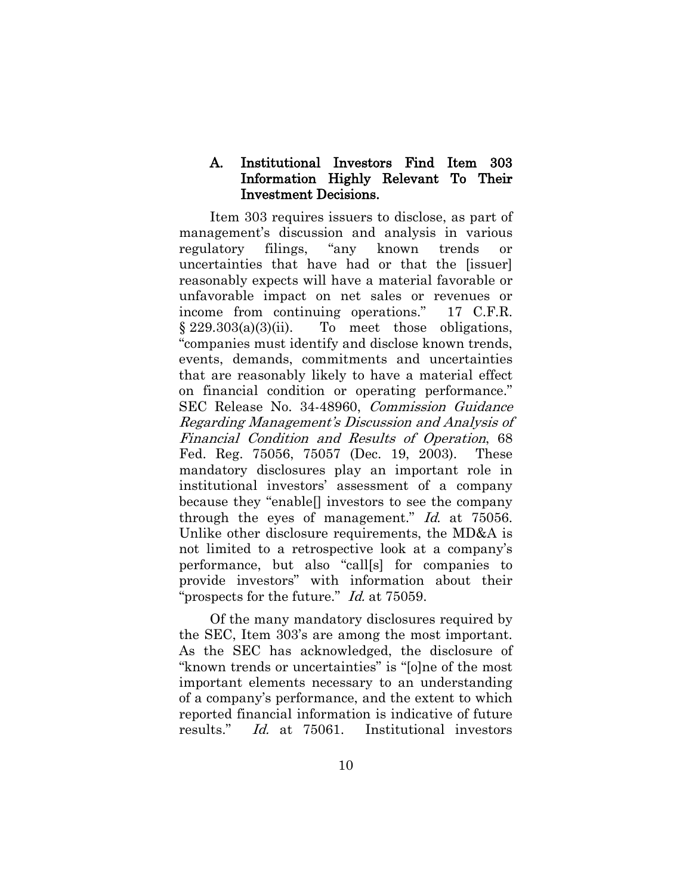### A. Institutional Investors Find Item 303 Information Highly Relevant To Their Investment Decisions.

Item 303 requires issuers to disclose, as part of management's discussion and analysis in various regulatory filings, "any known trends or uncertainties that have had or that the [issuer] reasonably expects will have a material favorable or unfavorable impact on net sales or revenues or income from continuing operations." 17 C.F.R.  $§ 229.303(a)(3)(ii)$ . To meet those obligations, "companies must identify and disclose known trends, events, demands, commitments and uncertainties that are reasonably likely to have a material effect on financial condition or operating performance." SEC Release No. 34-48960, Commission Guidance Regarding Management's Discussion and Analysis of Financial Condition and Results of Operation, 68 Fed. Reg. 75056, 75057 (Dec. 19, 2003). These mandatory disclosures play an important role in institutional investors' assessment of a company because they "enable[] investors to see the company through the eyes of management." Id. at 75056. Unlike other disclosure requirements, the MD&A is not limited to a retrospective look at a company's performance, but also "call[s] for companies to provide investors" with information about their "prospects for the future." *Id.* at 75059.

Of the many mandatory disclosures required by the SEC, Item 303's are among the most important. As the SEC has acknowledged, the disclosure of "known trends or uncertainties" is "[o]ne of the most important elements necessary to an understanding of a company's performance, and the extent to which reported financial information is indicative of future results." Id. at 75061. Institutional investors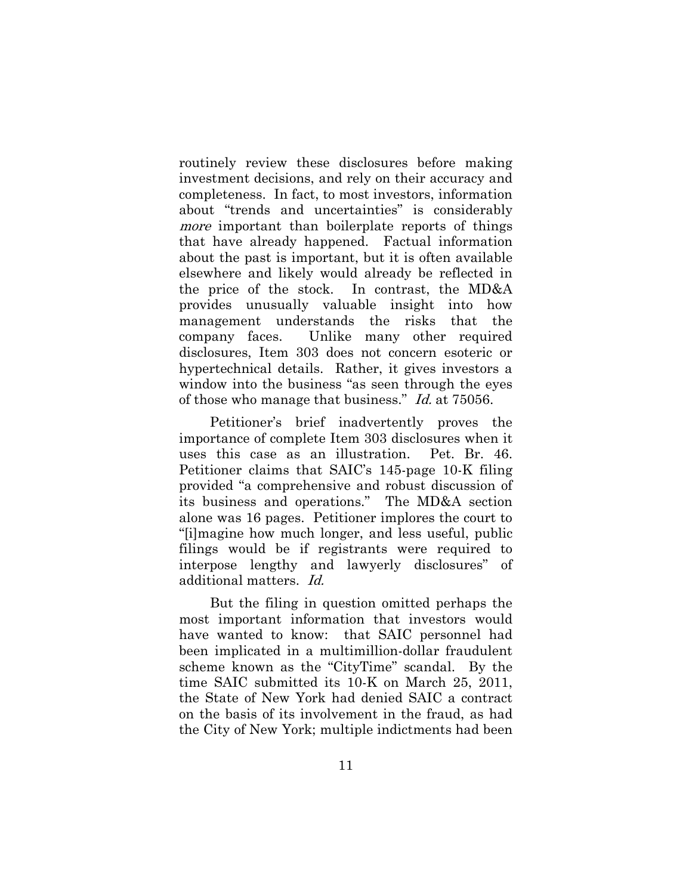routinely review these disclosures before making investment decisions, and rely on their accuracy and completeness. In fact, to most investors, information about "trends and uncertainties" is considerably more important than boilerplate reports of things that have already happened. Factual information about the past is important, but it is often available elsewhere and likely would already be reflected in the price of the stock. In contrast, the MD&A provides unusually valuable insight into how management understands the risks that the company faces. Unlike many other required disclosures, Item 303 does not concern esoteric or hypertechnical details. Rather, it gives investors a window into the business "as seen through the eyes of those who manage that business." Id. at 75056.

Petitioner's brief inadvertently proves the importance of complete Item 303 disclosures when it uses this case as an illustration. Pet. Br. 46. Petitioner claims that SAIC's 145-page 10-K filing provided "a comprehensive and robust discussion of its business and operations." The MD&A section alone was 16 pages. Petitioner implores the court to "[i]magine how much longer, and less useful, public filings would be if registrants were required to interpose lengthy and lawyerly disclosures" of additional matters. Id.

But the filing in question omitted perhaps the most important information that investors would have wanted to know: that SAIC personnel had been implicated in a multimillion-dollar fraudulent scheme known as the "CityTime" scandal. By the time SAIC submitted its 10-K on March 25, 2011, the State of New York had denied SAIC a contract on the basis of its involvement in the fraud, as had the City of New York; multiple indictments had been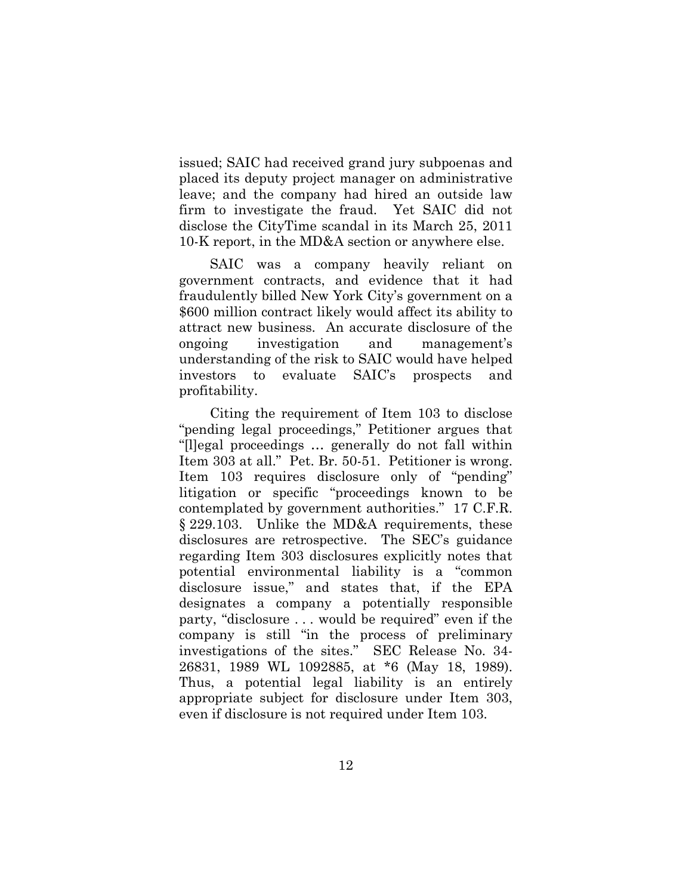issued; SAIC had received grand jury subpoenas and placed its deputy project manager on administrative leave; and the company had hired an outside law firm to investigate the fraud. Yet SAIC did not disclose the CityTime scandal in its March 25, 2011 10-K report, in the MD&A section or anywhere else.

SAIC was a company heavily reliant on government contracts, and evidence that it had fraudulently billed New York City's government on a \$600 million contract likely would affect its ability to attract new business. An accurate disclosure of the ongoing investigation and management's understanding of the risk to SAIC would have helped investors to evaluate SAIC's prospects and profitability.

Citing the requirement of Item 103 to disclose "pending legal proceedings," Petitioner argues that "[l]egal proceedings … generally do not fall within Item 303 at all." Pet. Br. 50-51. Petitioner is wrong. Item 103 requires disclosure only of "pending" litigation or specific "proceedings known to be contemplated by government authorities." 17 C.F.R. § 229.103. Unlike the MD&A requirements, these disclosures are retrospective. The SEC's guidance regarding Item 303 disclosures explicitly notes that potential environmental liability is a "common disclosure issue," and states that, if the EPA designates a company a potentially responsible party, "disclosure . . . would be required" even if the company is still "in the process of preliminary investigations of the sites." SEC Release No. 34- 26831, 1989 WL 1092885, at \*6 (May 18, 1989). Thus, a potential legal liability is an entirely appropriate subject for disclosure under Item 303, even if disclosure is not required under Item 103.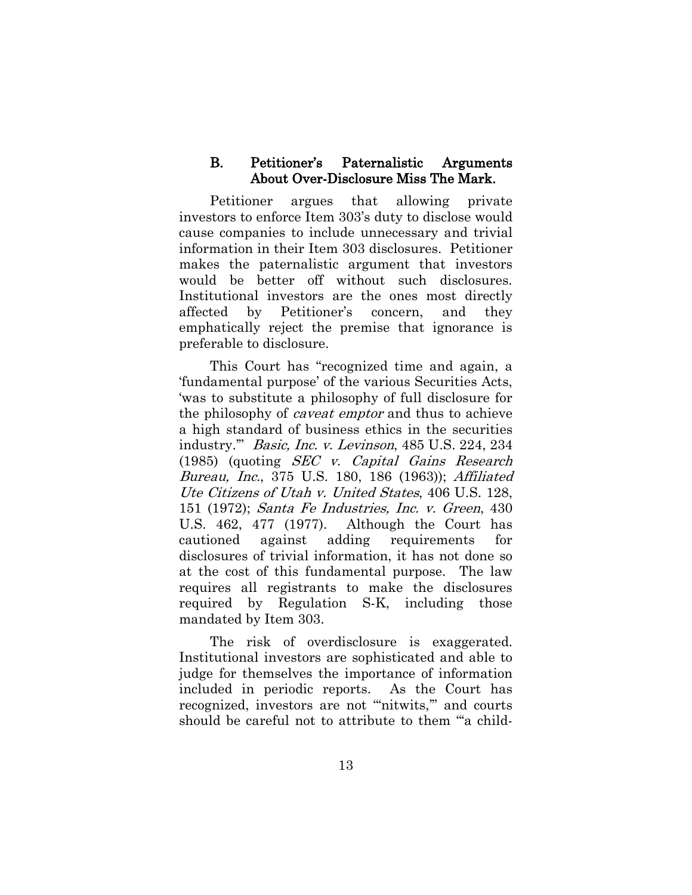#### <span id="page-19-0"></span>B. Petitioner's Paternalistic Arguments About Over-Disclosure Miss The Mark.

Petitioner argues that allowing private investors to enforce Item 303's duty to disclose would cause companies to include unnecessary and trivial information in their Item 303 disclosures. Petitioner makes the paternalistic argument that investors would be better off without such disclosures. Institutional investors are the ones most directly affected by Petitioner's concern, and they emphatically reject the premise that ignorance is preferable to disclosure.

This Court has "recognized time and again, a 'fundamental purpose' of the various Securities Acts, 'was to substitute a philosophy of full disclosure for the philosophy of caveat emptor and thus to achieve a high standard of business ethics in the securities industry.'" Basic, Inc. v. Levinson, 485 U.S. 224, 234 (1985) (quoting SEC v. Capital Gains Research Bureau, Inc., 375 U.S. 180, 186 (1963)); Affiliated Ute Citizens of Utah v. United States, 406 U.S. 128, 151 (1972); Santa Fe Industries, Inc. v. Green, 430 U.S. 462, 477 (1977). Although the Court has cautioned against adding requirements for disclosures of trivial information, it has not done so at the cost of this fundamental purpose. The law requires all registrants to make the disclosures required by Regulation S-K, including those mandated by Item 303.

The risk of overdisclosure is exaggerated. Institutional investors are sophisticated and able to judge for themselves the importance of information included in periodic reports. As the Court has recognized, investors are not "nitwits," and courts should be careful not to attribute to them "'a child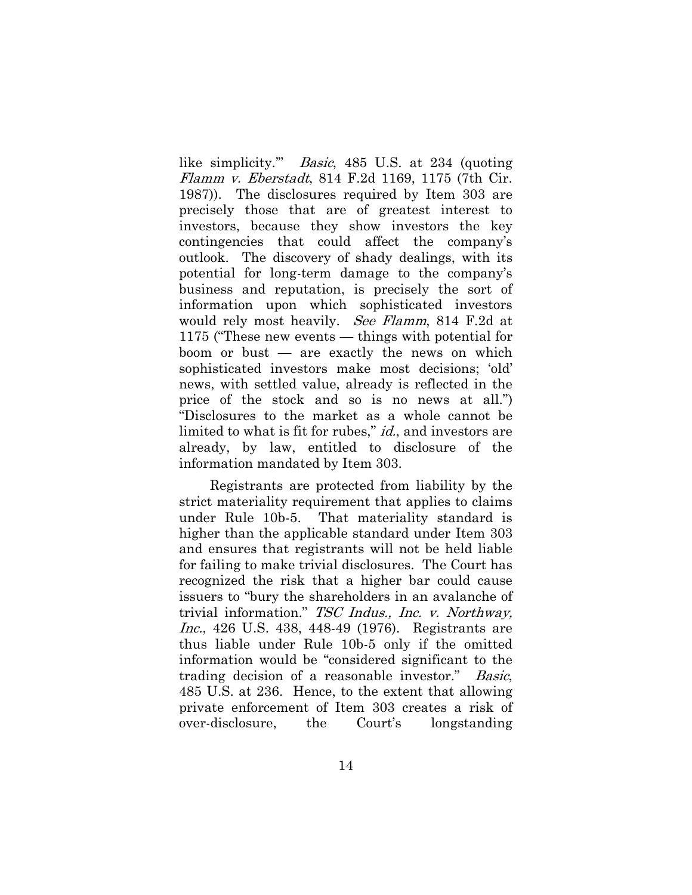like simplicity.'" Basic, 485 U.S. at 234 (quoting Flamm v. Eberstadt, 814 F.2d 1169, 1175 (7th Cir. 1987)). The disclosures required by Item 303 are precisely those that are of greatest interest to investors, because they show investors the key contingencies that could affect the company's outlook. The discovery of shady dealings, with its potential for long-term damage to the company's business and reputation, is precisely the sort of information upon which sophisticated investors would rely most heavily. See Flamm, 814 F.2d at 1175 ("These new events — things with potential for boom or bust — are exactly the news on which sophisticated investors make most decisions; 'old' news, with settled value, already is reflected in the price of the stock and so is no news at all.") "Disclosures to the market as a whole cannot be limited to what is fit for rubes," *id.*, and investors are already, by law, entitled to disclosure of the information mandated by Item 303.

Registrants are protected from liability by the strict materiality requirement that applies to claims under Rule 10b-5. That materiality standard is higher than the applicable standard under Item 303 and ensures that registrants will not be held liable for failing to make trivial disclosures. The Court has recognized the risk that a higher bar could cause issuers to "bury the shareholders in an avalanche of trivial information." TSC Indus., Inc. v. Northway, Inc., 426 U.S. 438, 448-49 (1976). Registrants are thus liable under Rule 10b-5 only if the omitted information would be "considered significant to the trading decision of a reasonable investor." Basic, 485 U.S. at 236. Hence, to the extent that allowing private enforcement of Item 303 creates a risk of over-disclosure, the Court's longstanding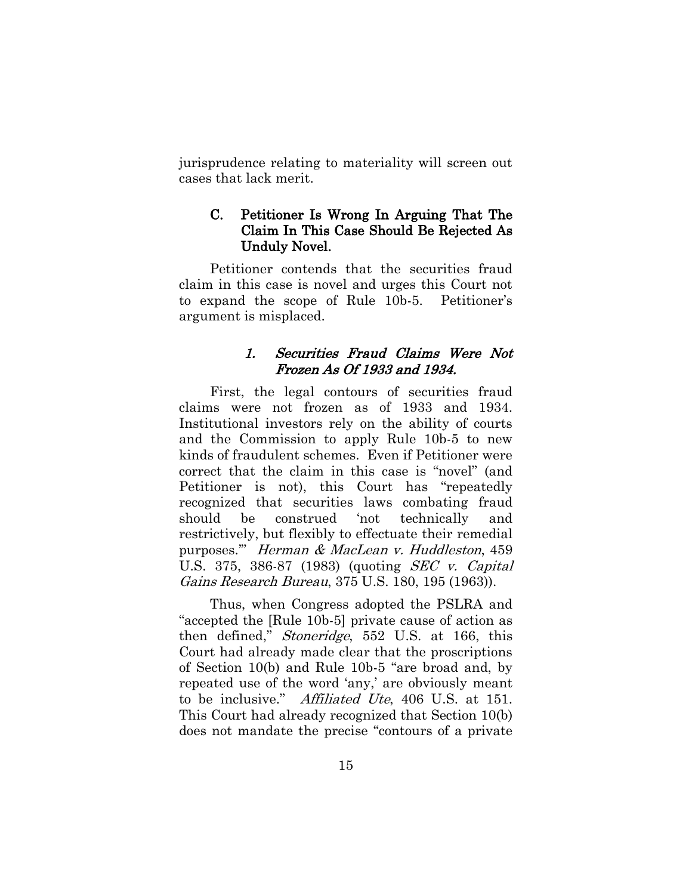<span id="page-21-0"></span>jurisprudence relating to materiality will screen out cases that lack merit.

### C. Petitioner Is Wrong In Arguing That The Claim In This Case Should Be Rejected As Unduly Novel.

<span id="page-21-1"></span>Petitioner contends that the securities fraud claim in this case is novel and urges this Court not to expand the scope of Rule 10b-5. Petitioner's argument is misplaced.

## 1. Securities Fraud Claims Were Not Frozen As Of 1933 and 1934.

First, the legal contours of securities fraud claims were not frozen as of 1933 and 1934. Institutional investors rely on the ability of courts and the Commission to apply Rule 10b-5 to new kinds of fraudulent schemes. Even if Petitioner were correct that the claim in this case is "novel" (and Petitioner is not), this Court has "repeatedly recognized that securities laws combating fraud should be construed 'not technically and restrictively, but flexibly to effectuate their remedial purposes.'" Herman & MacLean v. Huddleston, 459 U.S. 375, 386-87 (1983) (quoting SEC v. Capital Gains Research Bureau, 375 U.S. 180, 195 (1963)).

Thus, when Congress adopted the PSLRA and "accepted the [Rule 10b-5] private cause of action as then defined," Stoneridge, 552 U.S. at 166, this Court had already made clear that the proscriptions of Section 10(b) and Rule 10b-5 "are broad and, by repeated use of the word 'any,' are obviously meant to be inclusive." Affiliated Ute, 406 U.S. at 151. This Court had already recognized that Section 10(b) does not mandate the precise "contours of a private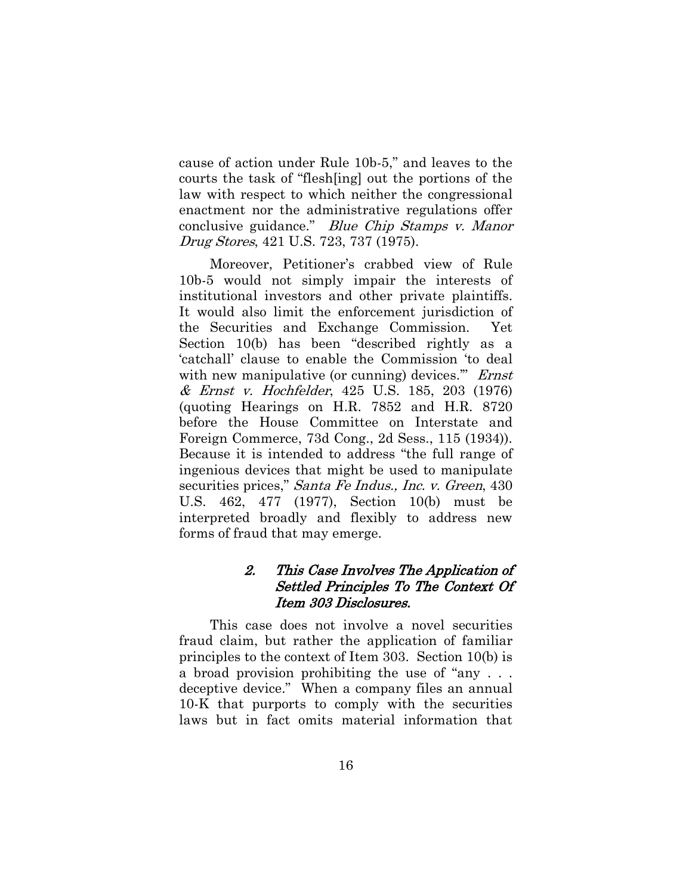cause of action under Rule 10b-5," and leaves to the courts the task of "flesh[ing] out the portions of the law with respect to which neither the congressional enactment nor the administrative regulations offer conclusive guidance." Blue Chip Stamps v. Manor Drug Stores, 421 U.S. 723, 737 (1975).

Moreover, Petitioner's crabbed view of Rule 10b-5 would not simply impair the interests of institutional investors and other private plaintiffs. It would also limit the enforcement jurisdiction of the Securities and Exchange Commission. Yet Section 10(b) has been "described rightly as a 'catchall' clause to enable the Commission 'to deal with new manipulative (or cunning) devices." *Ernst* & Ernst v. Hochfelder, 425 U.S. 185, 203 (1976) (quoting Hearings on H.R. 7852 and H.R. 8720 before the House Committee on Interstate and Foreign Commerce, 73d Cong., 2d Sess., 115 (1934)). Because it is intended to address "the full range of ingenious devices that might be used to manipulate securities prices," *Santa Fe Indus., Inc. v. Green*, 430 U.S. 462, 477 (1977), Section 10(b) must be interpreted broadly and flexibly to address new forms of fraud that may emerge.

# <span id="page-22-0"></span>2. This Case Involves The Application of Settled Principles To The Context Of Item 303 Disclosures.

This case does not involve a novel securities fraud claim, but rather the application of familiar principles to the context of Item 303. Section 10(b) is a broad provision prohibiting the use of "any . . . deceptive device." When a company files an annual 10-K that purports to comply with the securities laws but in fact omits material information that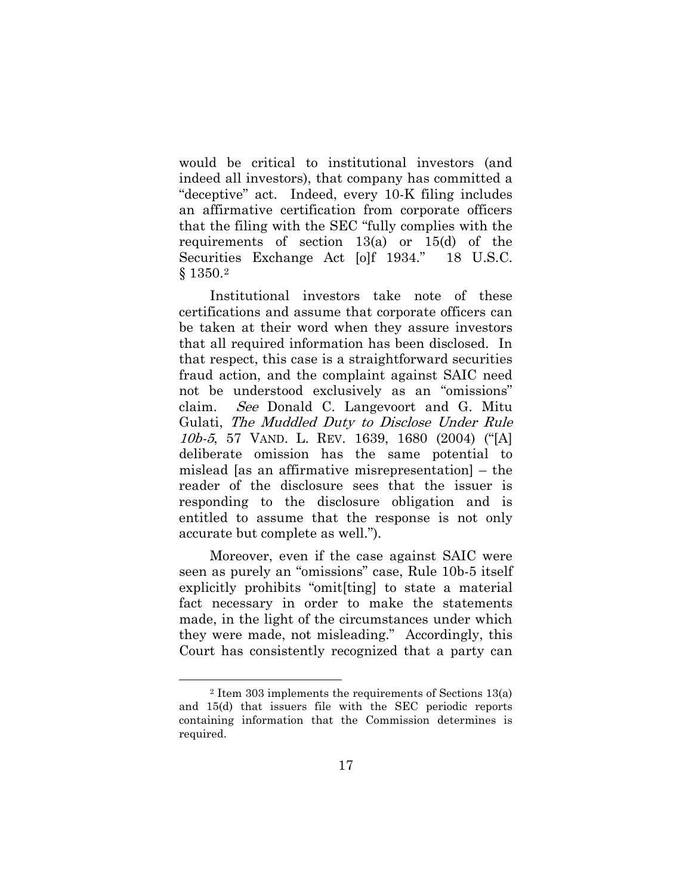would be critical to institutional investors (and indeed all investors), that company has committed a "deceptive" act. Indeed, every 10-K filing includes an affirmative certification from corporate officers that the filing with the SEC "fully complies with the requirements of section 13(a) or 15(d) of the Securities Exchange Act [o]f 1934." 18 U.S.C. § 1350.[2](#page-7-1) 

Institutional investors take note of these certifications and assume that corporate officers can be taken at their word when they assure investors that all required information has been disclosed. In that respect, this case is a straightforward securities fraud action, and the complaint against SAIC need not be understood exclusively as an "omissions" claim. See Donald C. Langevoort and G. Mitu Gulati, The Muddled Duty to Disclose Under Rule 10b-5, 57 VAND. L. REV. 1639, 1680 (2004) ("[A] deliberate omission has the same potential to mislead [as an affirmative misrepresentation] – the reader of the disclosure sees that the issuer is responding to the disclosure obligation and is entitled to assume that the response is not only accurate but complete as well.").

<span id="page-23-0"></span>Moreover, even if the case against SAIC were seen as purely an "omissions" case, Rule 10b-5 itself explicitly prohibits "omit[ting] to state a material fact necessary in order to make the statements made, in the light of the circumstances under which they were made, not misleading." Accordingly, this Court has consistently recognized that a party can

 $\overline{a}$ 

<sup>2</sup> Item 303 implements the requirements of Sections 13(a) and 15(d) that issuers file with the SEC periodic reports containing information that the Commission determines is required.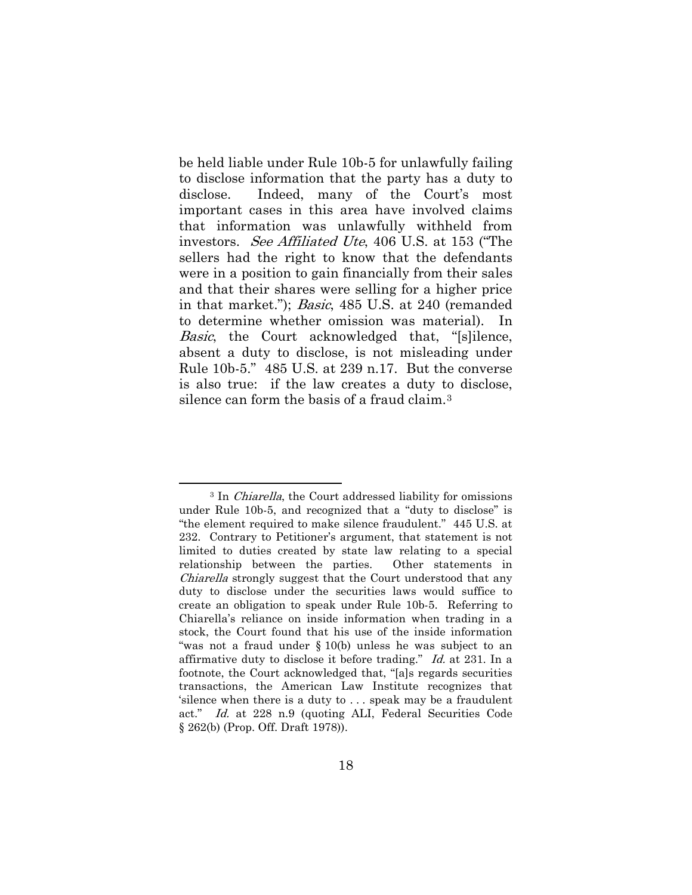be held liable under Rule 10b-5 for unlawfully failing to disclose information that the party has a duty to disclose. Indeed, many of the Court's most important cases in this area have involved claims that information was unlawfully withheld from investors. See Affiliated Ute, 406 U.S. at 153 ("The sellers had the right to know that the defendants were in a position to gain financially from their sales and that their shares were selling for a higher price in that market."); Basic, 485 U.S. at 240 (remanded to determine whether omission was material). In Basic, the Court acknowledged that, "[s]ilence, absent a duty to disclose, is not misleading under Rule 10b-5." 485 U.S. at 239 n.17. But the converse is also true: if the law creates a duty to disclose, silence can form the basis of a fraud claim.[3](#page-23-0)

<span id="page-24-0"></span> $\overline{a}$ <sup>3</sup> In *Chiarella*, the Court addressed liability for omissions under Rule 10b-5, and recognized that a "duty to disclose" is "the element required to make silence fraudulent." 445 U.S. at 232. Contrary to Petitioner's argument, that statement is not limited to duties created by state law relating to a special relationship between the parties. Other statements in Chiarella strongly suggest that the Court understood that any duty to disclose under the securities laws would suffice to create an obligation to speak under Rule 10b-5. Referring to Chiarella's reliance on inside information when trading in a stock, the Court found that his use of the inside information "was not a fraud under § 10(b) unless he was subject to an affirmative duty to disclose it before trading." Id. at 231. In a footnote, the Court acknowledged that, "[a]s regards securities transactions, the American Law Institute recognizes that 'silence when there is a duty to . . . speak may be a fraudulent act." Id. at 228 n.9 (quoting ALI, Federal Securities Code § 262(b) (Prop. Off. Draft 1978)).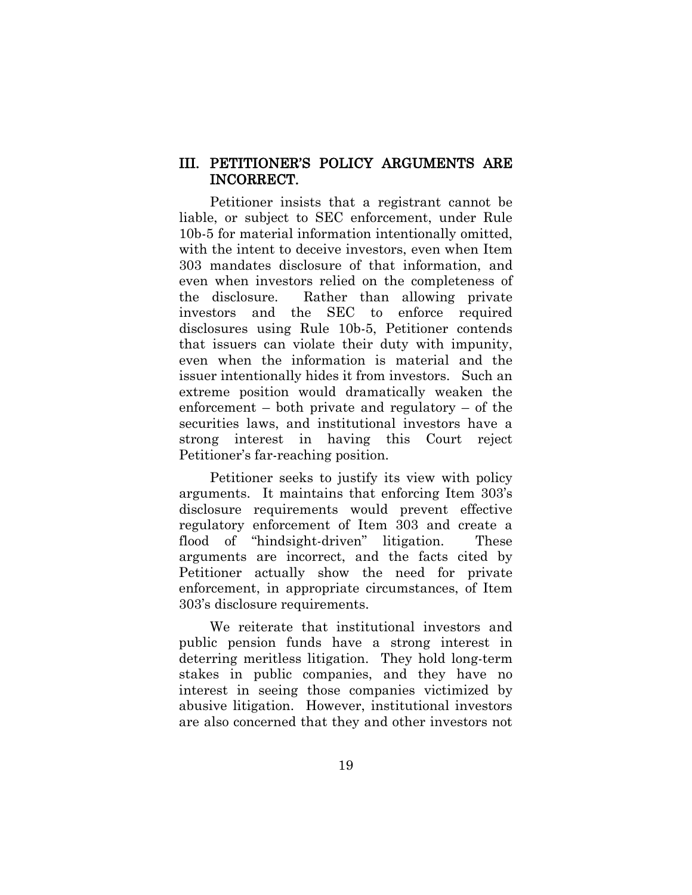### <span id="page-25-0"></span>III. PETITIONER'S POLICY ARGUMENTS ARE INCORRECT.

Petitioner insists that a registrant cannot be liable, or subject to SEC enforcement, under Rule 10b-5 for material information intentionally omitted, with the intent to deceive investors, even when Item 303 mandates disclosure of that information, and even when investors relied on the completeness of the disclosure. Rather than allowing private investors and the SEC to enforce required disclosures using Rule 10b-5, Petitioner contends that issuers can violate their duty with impunity, even when the information is material and the issuer intentionally hides it from investors. Such an extreme position would dramatically weaken the enforcement – both private and regulatory – of the securities laws, and institutional investors have a strong interest in having this Court reject Petitioner's far-reaching position.

Petitioner seeks to justify its view with policy arguments. It maintains that enforcing Item 303's disclosure requirements would prevent effective regulatory enforcement of Item 303 and create a flood of "hindsight-driven" litigation. These arguments are incorrect, and the facts cited by Petitioner actually show the need for private enforcement, in appropriate circumstances, of Item 303's disclosure requirements.

We reiterate that institutional investors and public pension funds have a strong interest in deterring meritless litigation. They hold long-term stakes in public companies, and they have no interest in seeing those companies victimized by abusive litigation. However, institutional investors are also concerned that they and other investors not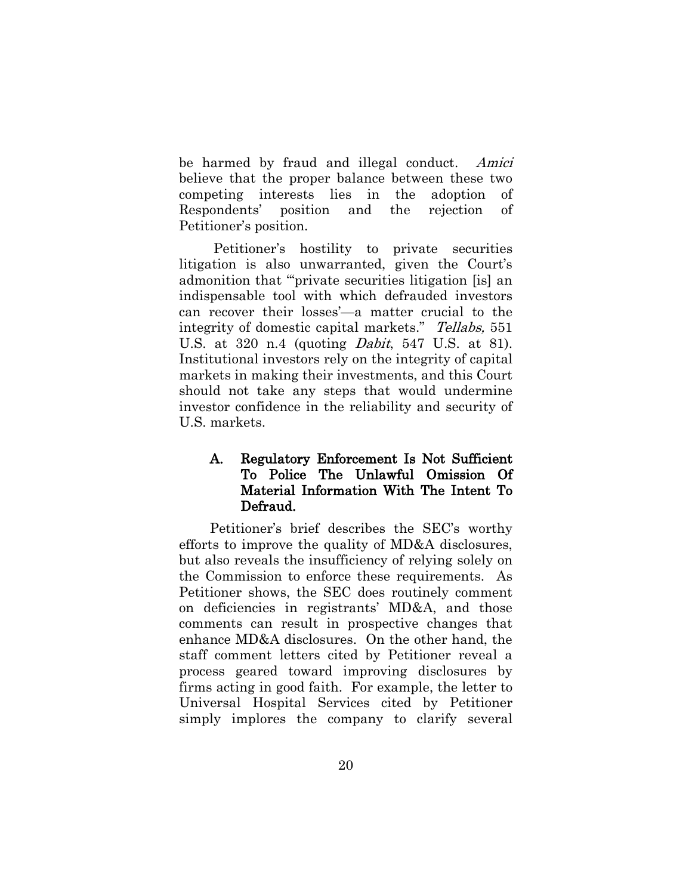be harmed by fraud and illegal conduct. Amici believe that the proper balance between these two competing interests lies in the adoption of Respondents' position and the rejection of Petitioner's position.

Petitioner's hostility to private securities litigation is also unwarranted, given the Court's admonition that "'private securities litigation [is] an indispensable tool with which defrauded investors can recover their losses'—a matter crucial to the integrity of domestic capital markets." Tellabs, 551 U.S. at 320 n.4 (quoting Dabit, 547 U.S. at 81). Institutional investors rely on the integrity of capital markets in making their investments, and this Court should not take any steps that would undermine investor confidence in the reliability and security of U.S. markets.

### <span id="page-26-0"></span>A. Regulatory Enforcement Is Not Sufficient To Police The Unlawful Omission Of Material Information With The Intent To Defraud.

Petitioner's brief describes the SEC's worthy efforts to improve the quality of MD&A disclosures, but also reveals the insufficiency of relying solely on the Commission to enforce these requirements. As Petitioner shows, the SEC does routinely comment on deficiencies in registrants' MD&A, and those comments can result in prospective changes that enhance MD&A disclosures. On the other hand, the staff comment letters cited by Petitioner reveal a process geared toward improving disclosures by firms acting in good faith. For example, the letter to Universal Hospital Services cited by Petitioner simply implores the company to clarify several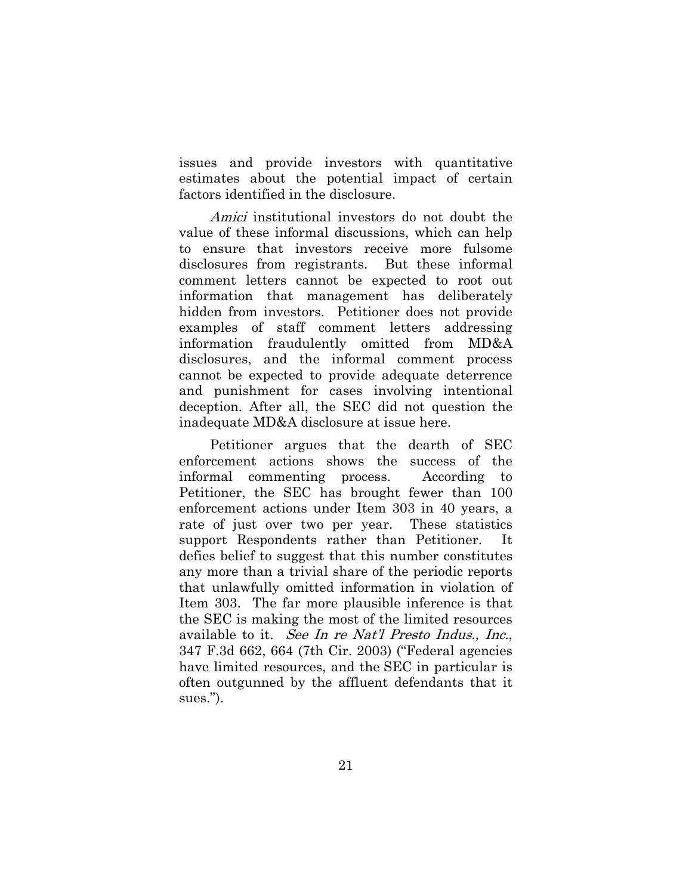issues and provide investors with quantitative estimates about the potential impact of certain factors identified in the disclosure.

Amici institutional investors do not doubt the value of these informal discussions, which can help to ensure that investors receive more fulsome disclosures from registrants. But these informal comment letters cannot be expected to root out information that management has deliberately hidden from investors. Petitioner does not provide examples of staff comment letters addressing information fraudulently omitted from MD&A disclosures, and the informal comment process cannot be expected to provide adequate deterrence and punishment for cases involving intentional deception. After all, the SEC did not question the inadequate MD&A disclosure at issue here.

Petitioner argues that the dearth of SEC enforcement actions shows the success of the informal commenting process. According to Petitioner, the SEC has brought fewer than 100 enforcement actions under Item 303 in 40 years, a rate of just over two per year. These statistics support Respondents rather than Petitioner. It defies belief to suggest that this number constitutes any more than a trivial share of the periodic reports that unlawfully omitted information in violation of Item 303. The far more plausible inference is that the SEC is making the most of the limited resources available to it. See In re Nat'l Presto Indus., Inc., 347 F.3d 662, 664 (7th Cir. 2003) ("Federal agencies have limited resources, and the SEC in particular is often outgunned by the affluent defendants that it sues.").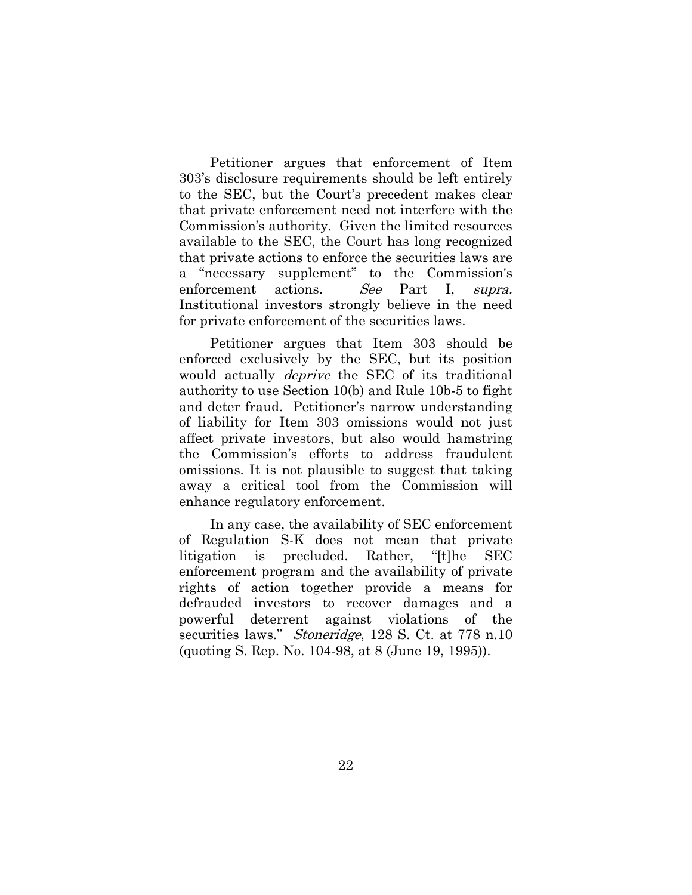Petitioner argues that enforcement of Item 303's disclosure requirements should be left entirely to the SEC, but the Court's precedent makes clear that private enforcement need not interfere with the Commission's authority. Given the limited resources available to the SEC, the Court has long recognized that private actions to enforce the securities laws are a "necessary supplement" to the Commission's enforcement actions. See Part I, supra. Institutional investors strongly believe in the need for private enforcement of the securities laws.

Petitioner argues that Item 303 should be enforced exclusively by the SEC, but its position would actually *deprive* the SEC of its traditional authority to use Section 10(b) and Rule 10b-5 to fight and deter fraud. Petitioner's narrow understanding of liability for Item 303 omissions would not just affect private investors, but also would hamstring the Commission's efforts to address fraudulent omissions. It is not plausible to suggest that taking away a critical tool from the Commission will enhance regulatory enforcement.

In any case, the availability of SEC enforcement of Regulation S-K does not mean that private litigation is precluded. Rather, "[t]he SEC enforcement program and the availability of private rights of action together provide a means for defrauded investors to recover damages and a powerful deterrent against violations of the securities laws." *Stoneridge*, 128 S. Ct. at 778 n.10 (quoting S. Rep. No. 104-98, at 8 (June 19, 1995)).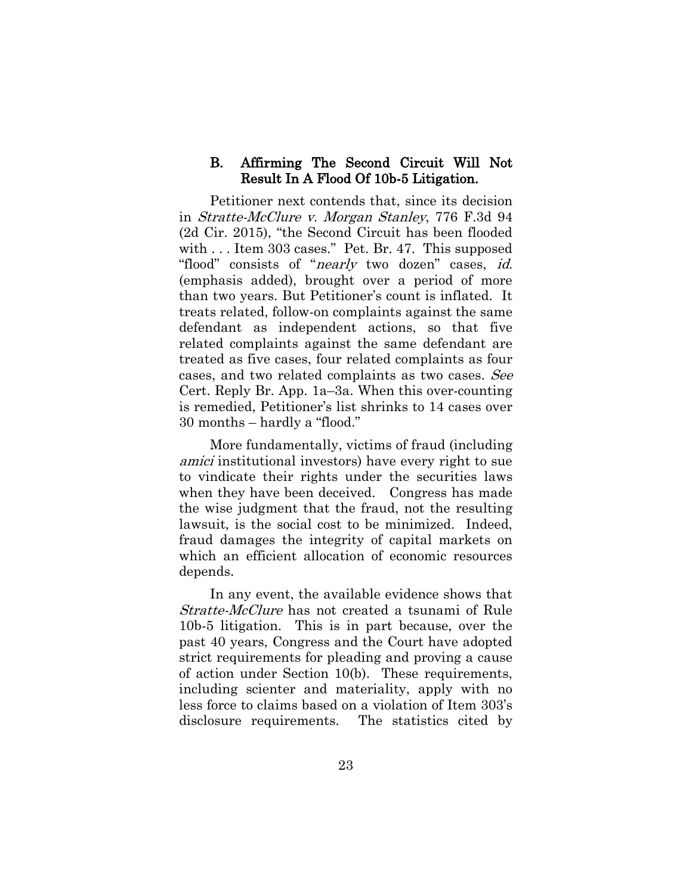#### <span id="page-29-0"></span>B. Affirming The Second Circuit Will Not Result In A Flood Of 10b-5 Litigation.

Petitioner next contends that, since its decision in Stratte-McClure v. Morgan Stanley, 776 F.3d 94 (2d Cir. 2015), "the Second Circuit has been flooded with . . . Item 303 cases." Pet. Br. 47. This supposed "flood" consists of "*nearly* two dozen" cases, *id.* (emphasis added), brought over a period of more than two years. But Petitioner's count is inflated. It treats related, follow-on complaints against the same defendant as independent actions, so that five related complaints against the same defendant are treated as five cases, four related complaints as four cases, and two related complaints as two cases. See Cert. Reply Br. App. 1a–3a. When this over-counting is remedied, Petitioner's list shrinks to 14 cases over 30 months – hardly a "flood."

More fundamentally, victims of fraud (including amici institutional investors) have every right to sue to vindicate their rights under the securities laws when they have been deceived. Congress has made the wise judgment that the fraud, not the resulting lawsuit, is the social cost to be minimized. Indeed, fraud damages the integrity of capital markets on which an efficient allocation of economic resources depends.

In any event, the available evidence shows that Stratte-McClure has not created a tsunami of Rule 10b-5 litigation. This is in part because, over the past 40 years, Congress and the Court have adopted strict requirements for pleading and proving a cause of action under Section 10(b). These requirements, including scienter and materiality, apply with no less force to claims based on a violation of Item 303's disclosure requirements. The statistics cited by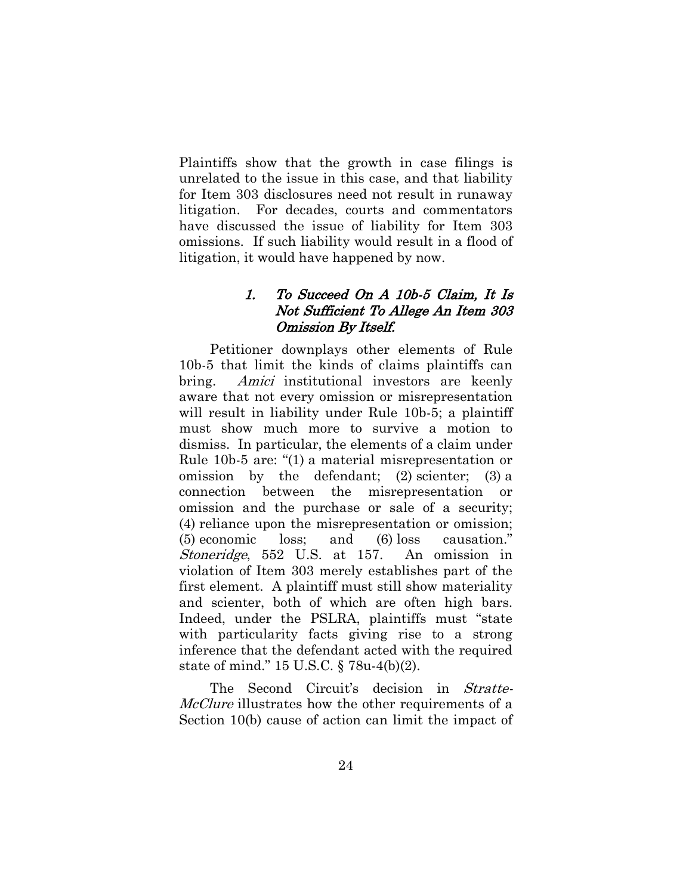Plaintiffs show that the growth in case filings is unrelated to the issue in this case, and that liability for Item 303 disclosures need not result in runaway litigation. For decades, courts and commentators have discussed the issue of liability for Item 303 omissions. If such liability would result in a flood of litigation, it would have happened by now.

### <span id="page-30-0"></span>1. To Succeed On A 10b-5 Claim, It Is Not Sufficient To Allege An Item 303 Omission By Itself.

Petitioner downplays other elements of Rule 10b-5 that limit the kinds of claims plaintiffs can bring. Amici institutional investors are keenly aware that not every omission or misrepresentation will result in liability under Rule 10b-5; a plaintiff must show much more to survive a motion to dismiss. In particular, the elements of a claim under Rule 10b-5 are: "(1) a material misrepresentation or omission by the defendant; (2) scienter; (3) a connection between the misrepresentation or omission and the purchase or sale of a security; (4) reliance upon the misrepresentation or omission; (5) economic loss; and (6) loss causation." Stoneridge, 552 U.S. at 157. An omission in violation of Item 303 merely establishes part of the first element. A plaintiff must still show materiality and scienter, both of which are often high bars. Indeed, under the PSLRA, plaintiffs must "state with particularity facts giving rise to a strong inference that the defendant acted with the required state of mind." 15 U.S.C. § 78u-4(b)(2).

The Second Circuit's decision in *Stratte-*McClure illustrates how the other requirements of a Section 10(b) cause of action can limit the impact of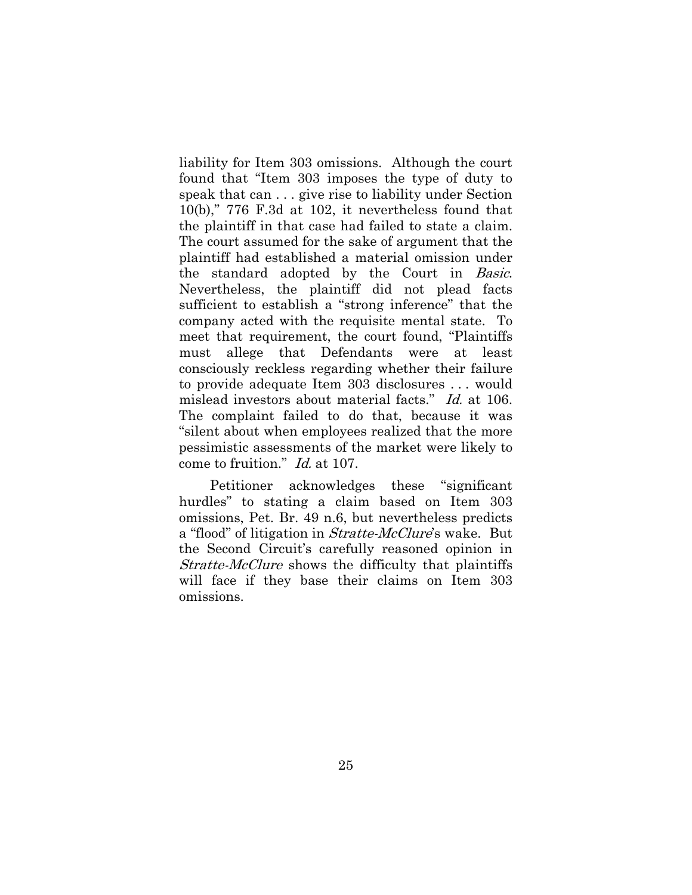liability for Item 303 omissions. Although the court found that "Item 303 imposes the type of duty to speak that can . . . give rise to liability under Section 10(b)," 776 F.3d at 102, it nevertheless found that the plaintiff in that case had failed to state a claim. The court assumed for the sake of argument that the plaintiff had established a material omission under the standard adopted by the Court in Basic. Nevertheless, the plaintiff did not plead facts sufficient to establish a "strong inference" that the company acted with the requisite mental state. To meet that requirement, the court found, "Plaintiffs must allege that Defendants were at least consciously reckless regarding whether their failure to provide adequate Item 303 disclosures . . . would mislead investors about material facts." Id. at 106. The complaint failed to do that, because it was "silent about when employees realized that the more pessimistic assessments of the market were likely to come to fruition." Id. at 107.

Petitioner acknowledges these "significant hurdles" to stating a claim based on Item 303 omissions, Pet. Br. 49 n.6, but nevertheless predicts a "flood" of litigation in *Stratte-McClure's* wake. But the Second Circuit's carefully reasoned opinion in Stratte-McClure shows the difficulty that plaintiffs will face if they base their claims on Item 303 omissions.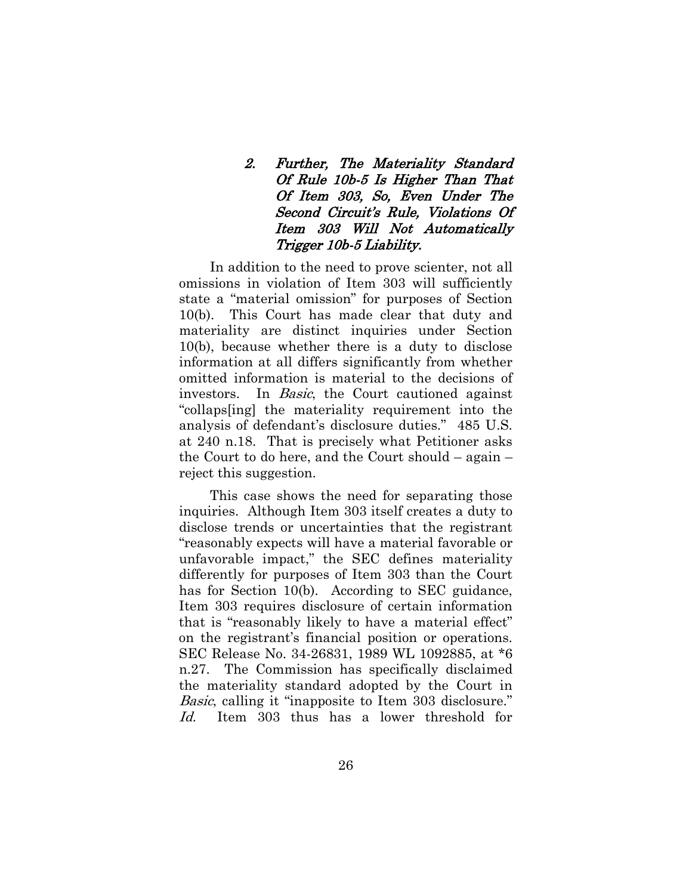# <span id="page-32-0"></span>2. Further, The Materiality Standard Of Rule 10b-5 Is Higher Than That Of Item 303, So, Even Under The Second Circuit's Rule, Violations Of Item 303 Will Not Automatically Trigger 10b-5 Liability.

In addition to the need to prove scienter, not all omissions in violation of Item 303 will sufficiently state a "material omission" for purposes of Section 10(b). This Court has made clear that duty and materiality are distinct inquiries under Section 10(b), because whether there is a duty to disclose information at all differs significantly from whether omitted information is material to the decisions of investors. In *Basic*, the Court cautioned against "collaps[ing] the materiality requirement into the analysis of defendant's disclosure duties." 485 U.S. at 240 n.18. That is precisely what Petitioner asks the Court to do here, and the Court should – again – reject this suggestion.

This case shows the need for separating those inquiries. Although Item 303 itself creates a duty to disclose trends or uncertainties that the registrant "reasonably expects will have a material favorable or unfavorable impact," the SEC defines materiality differently for purposes of Item 303 than the Court has for Section 10(b). According to SEC guidance, Item 303 requires disclosure of certain information that is "reasonably likely to have a material effect" on the registrant's financial position or operations. SEC Release No. 34-26831, 1989 WL 1092885, at \*6 n.27. The Commission has specifically disclaimed the materiality standard adopted by the Court in Basic, calling it "inapposite to Item 303 disclosure." Id. Item 303 thus has a lower threshold for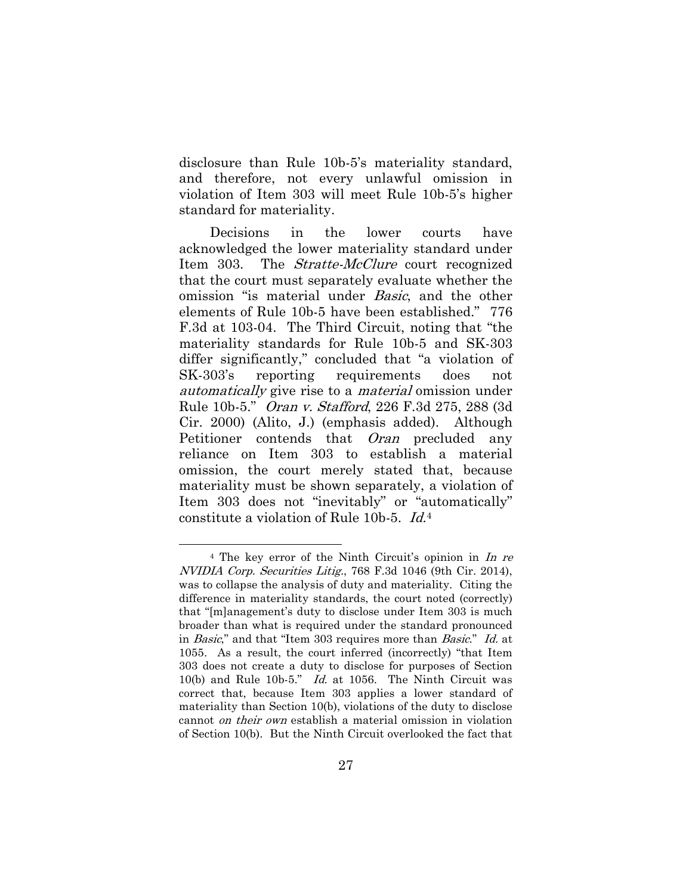disclosure than Rule 10b-5's materiality standard, and therefore, not every unlawful omission in violation of Item 303 will meet Rule 10b-5's higher standard for materiality.

Decisions in the lower courts have acknowledged the lower materiality standard under Item 303. The *Stratte-McClure* court recognized that the court must separately evaluate whether the omission "is material under Basic, and the other elements of Rule 10b-5 have been established." 776 F.3d at 103-04. The Third Circuit, noting that "the materiality standards for Rule 10b-5 and SK-303 differ significantly," concluded that "a violation of SK-303's reporting requirements does not automatically give rise to a material omission under Rule 10b-5." Oran v. Stafford, 226 F.3d 275, 288 (3d Cir. 2000) (Alito, J.) (emphasis added). Although Petitioner contends that *Oran* precluded any reliance on Item 303 to establish a material omission, the court merely stated that, because materiality must be shown separately, a violation of Item 303 does not "inevitably" or "automatically" constitute a violation of Rule 10b-5. Id.[4](#page-24-0)

 $\overline{a}$ 

<span id="page-33-0"></span><sup>&</sup>lt;sup>4</sup> The key error of the Ninth Circuit's opinion in *In re* NVIDIA Corp. Securities Litig., 768 F.3d 1046 (9th Cir. 2014), was to collapse the analysis of duty and materiality. Citing the difference in materiality standards, the court noted (correctly) that "[m]anagement's duty to disclose under Item 303 is much broader than what is required under the standard pronounced in *Basic*," and that "Item 303 requires more than *Basic*." Id. at 1055. As a result, the court inferred (incorrectly) "that Item 303 does not create a duty to disclose for purposes of Section 10(b) and Rule 10b-5." Id. at 1056. The Ninth Circuit was correct that, because Item 303 applies a lower standard of materiality than Section 10(b), violations of the duty to disclose cannot on their own establish a material omission in violation of Section 10(b). But the Ninth Circuit overlooked the fact that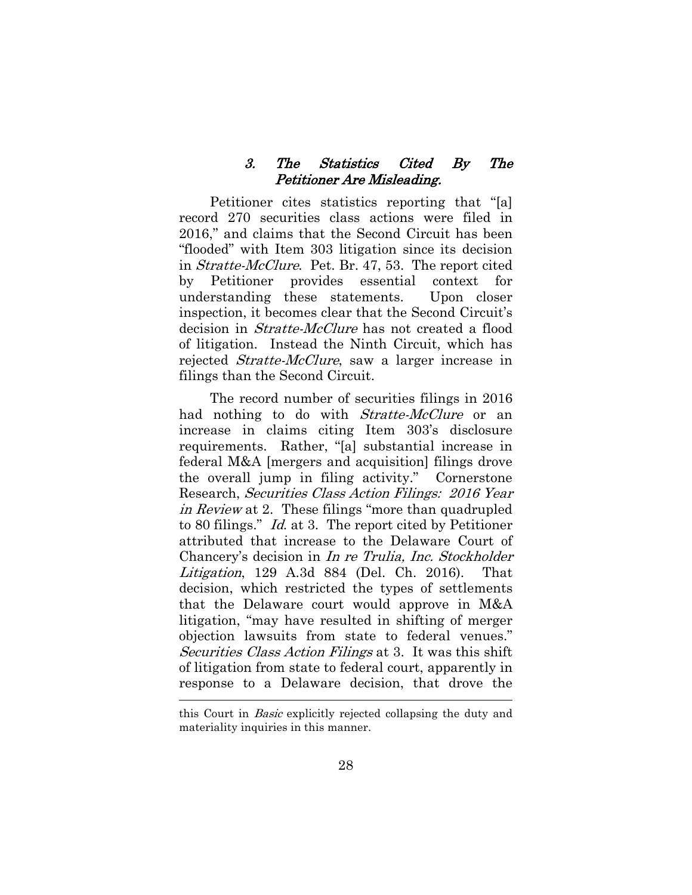#### 3. The Statistics Cited By The Petitioner Are Misleading.

<span id="page-34-0"></span>Petitioner cites statistics reporting that "[a] record 270 securities class actions were filed in 2016," and claims that the Second Circuit has been "flooded" with Item 303 litigation since its decision in Stratte-McClure. Pet. Br. 47, 53. The report cited by Petitioner provides essential context for understanding these statements. Upon closer inspection, it becomes clear that the Second Circuit's decision in *Stratte-McClure* has not created a flood of litigation. Instead the Ninth Circuit, which has rejected *Stratte-McClure*, saw a larger increase in filings than the Second Circuit.

The record number of securities filings in 2016 had nothing to do with *Stratte-McClure* or an increase in claims citing Item 303's disclosure requirements. Rather, "[a] substantial increase in federal M&A [mergers and acquisition] filings drove the overall jump in filing activity." Cornerstone Research, Securities Class Action Filings: 2016 Year in Review at 2. These filings "more than quadrupled to 80 filings." Id. at 3. The report cited by Petitioner attributed that increase to the Delaware Court of Chancery's decision in In re Trulia, Inc. Stockholder Litigation, 129 A.3d 884 (Del. Ch. 2016). That decision, which restricted the types of settlements that the Delaware court would approve in M&A litigation, "may have resulted in shifting of merger objection lawsuits from state to federal venues." Securities Class Action Filings at 3. It was this shift of litigation from state to federal court, apparently in response to a Delaware decision, that drove the

 $\overline{a}$ 

this Court in Basic explicitly rejected collapsing the duty and materiality inquiries in this manner.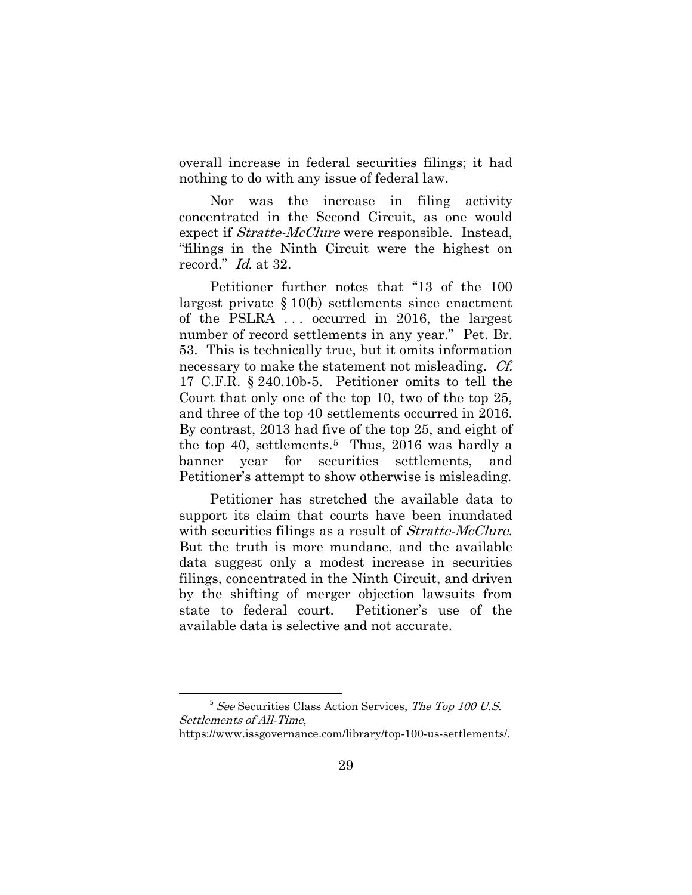overall increase in federal securities filings; it had nothing to do with any issue of federal law.

Nor was the increase in filing activity concentrated in the Second Circuit, as one would expect if *Stratte-McClure* were responsible. Instead, "filings in the Ninth Circuit were the highest on record." Id. at 32.

Petitioner further notes that "13 of the 100 largest private § 10(b) settlements since enactment of the PSLRA . . . occurred in 2016, the largest number of record settlements in any year." Pet. Br. 53. This is technically true, but it omits information necessary to make the statement not misleading. *Cf.* 17 C.F.R. § 240.10b-5. Petitioner omits to tell the Court that only one of the top 10, two of the top 25, and three of the top 40 settlements occurred in 2016. By contrast, 2013 had five of the top 25, and eight of the top 40, settlements.[5](#page-33-0) Thus, 2016 was hardly a banner year for securities settlements, and Petitioner's attempt to show otherwise is misleading.

Petitioner has stretched the available data to support its claim that courts have been inundated with securities filings as a result of *Stratte-McClure*. But the truth is more mundane, and the available data suggest only a modest increase in securities filings, concentrated in the Ninth Circuit, and driven by the shifting of merger objection lawsuits from state to federal court. Petitioner's use of the available data is selective and not accurate.

 $5$  See Securities Class Action Services, The Top 100 U.S. Settlements of All-Time,

https://www.issgovernance.com/library/top-100-us-settlements/.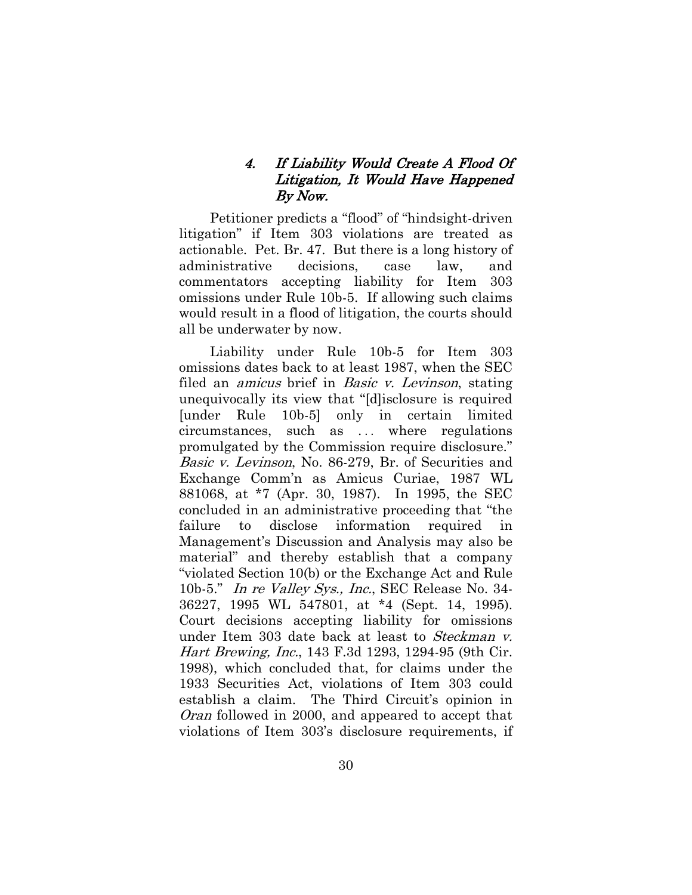### 4. If Liability Would Create A Flood Of Litigation, It Would Have Happened By Now.

<span id="page-36-0"></span>Petitioner predicts a "flood" of "hindsight-driven litigation" if Item 303 violations are treated as actionable. Pet. Br. 47. But there is a long history of administrative decisions, case law, and commentators accepting liability for Item 303 omissions under Rule 10b-5. If allowing such claims would result in a flood of litigation, the courts should all be underwater by now.

Liability under Rule 10b-5 for Item 303 omissions dates back to at least 1987, when the SEC filed an *amicus* brief in *Basic v. Levinson*, stating unequivocally its view that "[d]isclosure is required [under Rule 10b-5] only in certain limited circumstances, such as ... where regulations promulgated by the Commission require disclosure." Basic v. Levinson, No. 86-279, Br. of Securities and Exchange Comm'n as Amicus Curiae, 1987 WL 881068, at \*7 (Apr. 30, 1987). In 1995, the SEC concluded in an administrative proceeding that "the failure to disclose information required in Management's Discussion and Analysis may also be material" and thereby establish that a company "violated Section 10(b) or the Exchange Act and Rule 10b-5." In re Valley Sys., Inc., SEC Release No. 34-36227, 1995 WL 547801, at \*4 (Sept. 14, 1995). Court decisions accepting liability for omissions under Item 303 date back at least to *Steckman v*. Hart Brewing, Inc., 143 F.3d 1293, 1294-95 (9th Cir. 1998), which concluded that, for claims under the 1933 Securities Act, violations of Item 303 could establish a claim. The Third Circuit's opinion in Oran followed in 2000, and appeared to accept that violations of Item 303's disclosure requirements, if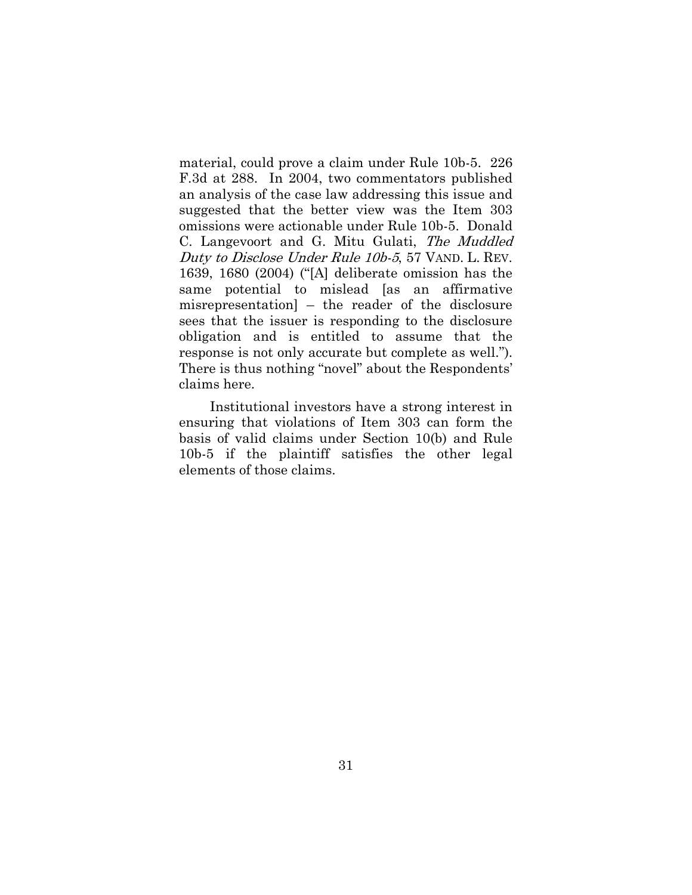material, could prove a claim under Rule 10b-5. 226 F.3d at 288. In 2004, two commentators published an analysis of the case law addressing this issue and suggested that the better view was the Item 303 omissions were actionable under Rule 10b-5. Donald C. Langevoort and G. Mitu Gulati, The Muddled Duty to Disclose Under Rule 10b-5, 57 VAND. L. REV. 1639, 1680 (2004) ("[A] deliberate omission has the same potential to mislead [as an affirmative misrepresentation] – the reader of the disclosure sees that the issuer is responding to the disclosure obligation and is entitled to assume that the response is not only accurate but complete as well."). There is thus nothing "novel" about the Respondents' claims here.

Institutional investors have a strong interest in ensuring that violations of Item 303 can form the basis of valid claims under Section 10(b) and Rule 10b-5 if the plaintiff satisfies the other legal elements of those claims.